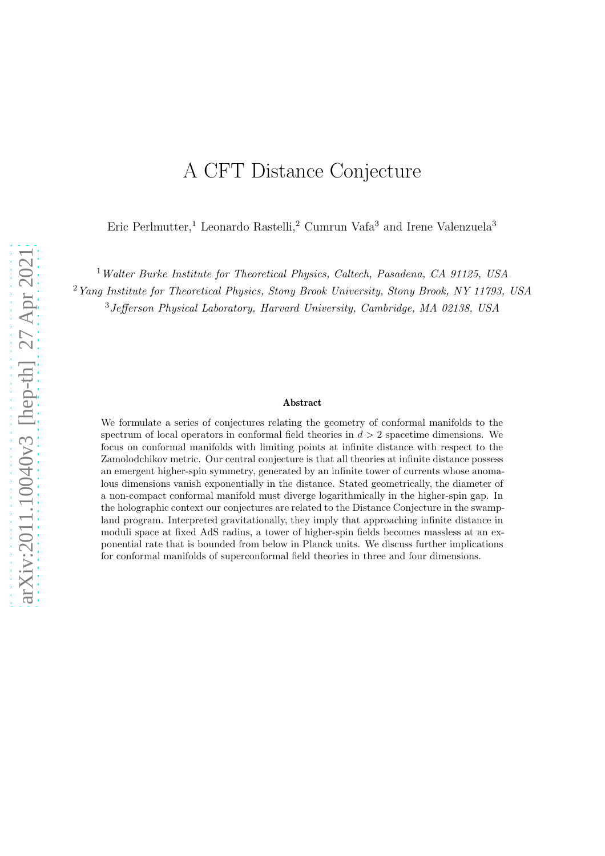# A CFT Distance Conjecture

Eric Perlmutter,<sup>1</sup> Leonardo Rastelli,<sup>2</sup> Cumrun Vafa<sup>3</sup> and Irene Valenzuela<sup>3</sup>

<sup>1</sup> Walter Burke Institute for Theoretical Physics, Caltech, Pasadena, CA 91125, USA

<sup>2</sup>Yang Institute for Theoretical Physics, Stony Brook University, Stony Brook, NY 11793, USA

<sup>3</sup>Jefferson Physical Laboratory, Harvard University, Cambridge, MA 02138, USA

#### Abstract

We formulate a series of conjectures relating the geometry of conformal manifolds to the spectrum of local operators in conformal field theories in  $d > 2$  spacetime dimensions. We focus on conformal manifolds with limiting points at infinite distance with respect to the Zamolodchikov metric. Our central conjecture is that all theories at infinite distance possess an emergent higher-spin symmetry, generated by an infinite tower of currents whose anomalous dimensions vanish exponentially in the distance. Stated geometrically, the diameter of a non-compact conformal manifold must diverge logarithmically in the higher-spin gap. In the holographic context our conjectures are related to the Distance Conjecture in the swampland program. Interpreted gravitationally, they imply that approaching infinite distance in moduli space at fixed AdS radius, a tower of higher-spin fields becomes massless at an exponential rate that is bounded from below in Planck units. We discuss further implications for conformal manifolds of superconformal field theories in three and four dimensions.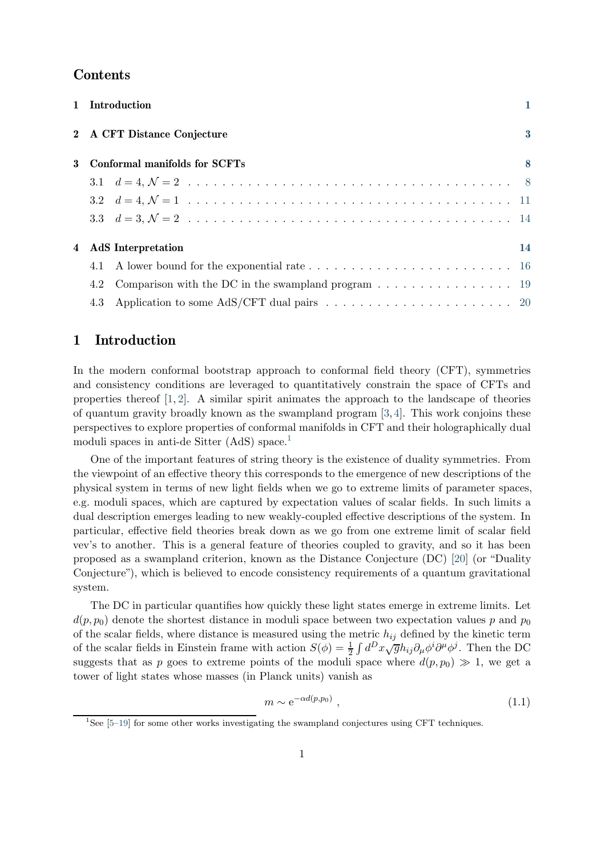# **Contents**

|   |                           | 1 Introduction                                                                              |                  |  |
|---|---------------------------|---------------------------------------------------------------------------------------------|------------------|--|
|   |                           | 2 A CFT Distance Conjecture                                                                 | $\boldsymbol{3}$ |  |
| 3 |                           | Conformal manifolds for SCFTs                                                               | 8                |  |
|   |                           |                                                                                             |                  |  |
|   |                           |                                                                                             |                  |  |
|   |                           |                                                                                             |                  |  |
| 4 | <b>AdS</b> Interpretation |                                                                                             |                  |  |
|   |                           |                                                                                             |                  |  |
|   | 4.2                       | Comparison with the DC in the swampland program $\dots \dots \dots \dots \dots \dots \dots$ |                  |  |
|   |                           |                                                                                             |                  |  |

# <span id="page-1-0"></span>1 Introduction

In the modern conformal bootstrap approach to conformal field theory (CFT), symmetries and consistency conditions are leveraged to quantitatively constrain the space of CFTs and properties thereof  $[1, 2]$  $[1, 2]$ . A similar spirit animates the approach to the landscape of theories of quantum gravity broadly known as the swampland program [\[3,](#page-22-2) [4\]](#page-23-0). This work conjoins these perspectives to explore properties of conformal manifolds in CFT and their holographically dual moduli spaces in anti-de Sitter (AdS) space.<sup>[1](#page-1-1)</sup>

One of the important features of string theory is the existence of duality symmetries. From the viewpoint of an effective theory this corresponds to the emergence of new descriptions of the physical system in terms of new light fields when we go to extreme limits of parameter spaces, e.g. moduli spaces, which are captured by expectation values of scalar fields. In such limits a dual description emerges leading to new weakly-coupled effective descriptions of the system. In particular, effective field theories break down as we go from one extreme limit of scalar field vev's to another. This is a general feature of theories coupled to gravity, and so it has been proposed as a swampland criterion, known as the Distance Conjecture (DC) [\[20\]](#page-23-1) (or "Duality Conjecture"), which is believed to encode consistency requirements of a quantum gravitational system.

The DC in particular quantifies how quickly these light states emerge in extreme limits. Let  $d(p, p_0)$  denote the shortest distance in moduli space between two expectation values p and  $p_0$ of the scalar fields, where distance is measured using the metric  $h_{ij}$  defined by the kinetic term of the scalar fields in Einstein frame with action  $S(\phi) = \frac{1}{2} \int d^D x \sqrt{g} h_{ij} \partial_\mu \phi^i \partial^\mu \phi^j$ . Then the DC suggests that as p goes to extreme points of the moduli space where  $d(p, p_0) \gg 1$ , we get a tower of light states whose masses (in Planck units) vanish as

$$
m \sim e^{-\alpha d(p, p_0)}, \qquad (1.1)
$$

<span id="page-1-1"></span><sup>&</sup>lt;sup>1</sup>See [5-[19\]](#page-23-3) for some other works investigating the swampland conjectures using CFT techniques.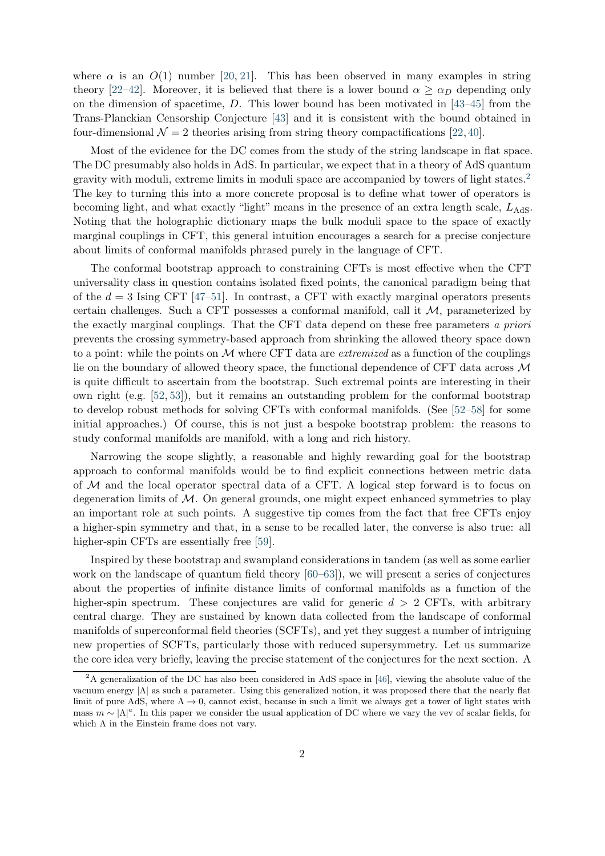where  $\alpha$  is an  $O(1)$  number [\[20,](#page-23-1) [21\]](#page-23-4). This has been observed in many examples in string theory [\[22](#page-24-0)[–42\]](#page-25-0). Moreover, it is believed that there is a lower bound  $\alpha \geq \alpha_D$  depending only on the dimension of spacetime,  $D$ . This lower bound has been motivated in [\[43–](#page-25-1)[45\]](#page-25-2) from the Trans-Planckian Censorship Conjecture [\[43\]](#page-25-1) and it is consistent with the bound obtained in four-dimensional  $\mathcal{N} = 2$  theories arising from string theory compactifications [\[22,](#page-24-0) [40\]](#page-25-3).

Most of the evidence for the DC comes from the study of the string landscape in flat space. The DC presumably also holds in AdS. In particular, we expect that in a theory of AdS quantum gravity with moduli, extreme limits in moduli space are accompanied by towers of light states.[2](#page-2-0) The key to turning this into a more concrete proposal is to define what tower of operators is becoming light, and what exactly "light" means in the presence of an extra length scale,  $L_{\text{AdS}}$ . Noting that the holographic dictionary maps the bulk moduli space to the space of exactly marginal couplings in CFT, this general intuition encourages a search for a precise conjecture about limits of conformal manifolds phrased purely in the language of CFT.

The conformal bootstrap approach to constraining CFTs is most effective when the CFT universality class in question contains isolated fixed points, the canonical paradigm being that of the  $d = 3$  Ising CFT [\[47](#page-25-4)-51]. In contrast, a CFT with exactly marginal operators presents certain challenges. Such a CFT possesses a conformal manifold, call it  $M$ , parameterized by the exactly marginal couplings. That the CFT data depend on these free parameters a priori prevents the crossing symmetry-based approach from shrinking the allowed theory space down to a point: while the points on  $\mathcal M$  where CFT data are *extremized* as a function of the couplings lie on the boundary of allowed theory space, the functional dependence of CFT data across  $\mathcal M$ is quite difficult to ascertain from the bootstrap. Such extremal points are interesting in their own right (e.g. [\[52,](#page-25-6) [53\]](#page-25-7)), but it remains an outstanding problem for the conformal bootstrap to develop robust methods for solving CFTs with conformal manifolds. (See [\[52](#page-25-6)[–58\]](#page-26-0) for some initial approaches.) Of course, this is not just a bespoke bootstrap problem: the reasons to study conformal manifolds are manifold, with a long and rich history.

Narrowing the scope slightly, a reasonable and highly rewarding goal for the bootstrap approach to conformal manifolds would be to find explicit connections between metric data of M and the local operator spectral data of a CFT. A logical step forward is to focus on degeneration limits of  $M$ . On general grounds, one might expect enhanced symmetries to play an important role at such points. A suggestive tip comes from the fact that free CFTs enjoy a higher-spin symmetry and that, in a sense to be recalled later, the converse is also true: all higher-spin CFTs are essentially free [\[59\]](#page-26-1).

Inspired by these bootstrap and swampland considerations in tandem (as well as some earlier work on the landscape of quantum field theory [\[60](#page-26-2)[–63\]](#page-26-3)), we will present a series of conjectures about the properties of infinite distance limits of conformal manifolds as a function of the higher-spin spectrum. These conjectures are valid for generic  $d > 2$  CFTs, with arbitrary central charge. They are sustained by known data collected from the landscape of conformal manifolds of superconformal field theories (SCFTs), and yet they suggest a number of intriguing new properties of SCFTs, particularly those with reduced supersymmetry. Let us summarize the core idea very briefly, leaving the precise statement of the conjectures for the next section. A

<span id="page-2-0"></span><sup>&</sup>lt;sup>2</sup>A generalization of the DC has also been considered in AdS space in [\[46\]](#page-25-8), viewing the absolute value of the vacuum energy |Λ| as such a parameter. Using this generalized notion, it was proposed there that the nearly flat limit of pure AdS, where  $\Lambda \to 0$ , cannot exist, because in such a limit we always get a tower of light states with mass  $m \sim |\Lambda|^a$ . In this paper we consider the usual application of DC where we vary the vev of scalar fields, for which  $\Lambda$  in the Einstein frame does not vary.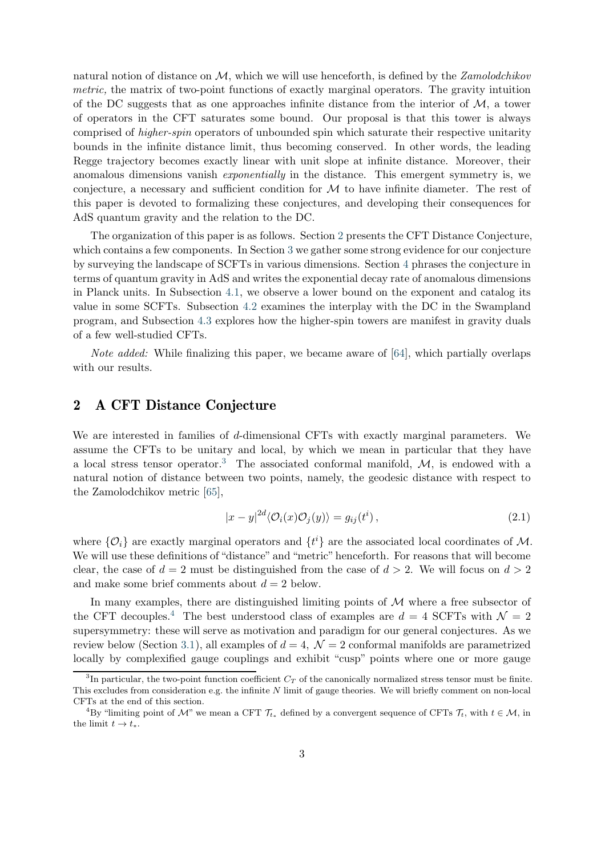natural notion of distance on  $\mathcal{M}$ , which we will use henceforth, is defined by the Zamolodchikov metric, the matrix of two-point functions of exactly marginal operators. The gravity intuition of the DC suggests that as one approaches infinite distance from the interior of  $\mathcal{M}$ , a tower of operators in the CFT saturates some bound. Our proposal is that this tower is always comprised of higher-spin operators of unbounded spin which saturate their respective unitarity bounds in the infinite distance limit, thus becoming conserved. In other words, the leading Regge trajectory becomes exactly linear with unit slope at infinite distance. Moreover, their anomalous dimensions vanish exponentially in the distance. This emergent symmetry is, we conjecture, a necessary and sufficient condition for  $M$  to have infinite diameter. The rest of this paper is devoted to formalizing these conjectures, and developing their consequences for AdS quantum gravity and the relation to the DC.

The organization of this paper is as follows. Section [2](#page-3-0) presents the CFT Distance Conjecture, which contains a few components. In Section [3](#page-8-0) we gather some strong evidence for our conjecture by surveying the landscape of SCFTs in various dimensions. Section [4](#page-14-1) phrases the conjecture in terms of quantum gravity in AdS and writes the exponential decay rate of anomalous dimensions in Planck units. In Subsection [4.1,](#page-16-0) we observe a lower bound on the exponent and catalog its value in some SCFTs. Subsection [4.2](#page-19-0) examines the interplay with the DC in the Swampland program, and Subsection [4.3](#page-20-0) explores how the higher-spin towers are manifest in gravity duals of a few well-studied CFTs.

Note added: While finalizing this paper, we became aware of [\[64\]](#page-26-4), which partially overlaps with our results.

# <span id="page-3-0"></span>2 A CFT Distance Conjecture

We are interested in families of d-dimensional CFTs with exactly marginal parameters. We assume the CFTs to be unitary and local, by which we mean in particular that they have a local stress tensor operator.<sup>[3](#page-3-1)</sup> The associated conformal manifold,  $M$ , is endowed with a natural notion of distance between two points, namely, the geodesic distance with respect to the Zamolodchikov metric [\[65\]](#page-26-5),

$$
|x - y|^{2d} \langle \mathcal{O}_i(x) \mathcal{O}_j(y) \rangle = g_{ij}(t^i), \qquad (2.1)
$$

where  $\{\mathcal{O}_i\}$  are exactly marginal operators and  $\{t^i\}$  are the associated local coordinates of  $\mathcal{M}$ . We will use these definitions of "distance" and "metric" henceforth. For reasons that will become clear, the case of  $d = 2$  must be distinguished from the case of  $d > 2$ . We will focus on  $d > 2$ and make some brief comments about  $d = 2$  below.

In many examples, there are distinguished limiting points of  $M$  where a free subsector of the CFT decouples.<sup>[4](#page-3-2)</sup> The best understood class of examples are  $d = 4$  SCFTs with  $\mathcal{N} = 2$ supersymmetry: these will serve as motivation and paradigm for our general conjectures. As we review below (Section [3.1\)](#page-8-1), all examples of  $d = 4$ ,  $\mathcal{N} = 2$  conformal manifolds are parametrized locally by complexified gauge couplings and exhibit "cusp" points where one or more gauge

<span id="page-3-1"></span><sup>&</sup>lt;sup>3</sup>In particular, the two-point function coefficient  $C_T$  of the canonically normalized stress tensor must be finite. This excludes from consideration e.g. the infinite  $N$  limit of gauge theories. We will briefly comment on non-local CFTs at the end of this section.

<span id="page-3-2"></span><sup>&</sup>lt;sup>4</sup>By "limiting point of M" we mean a CFT  $\mathcal{T}_{t*}$  defined by a convergent sequence of CFTs  $\mathcal{T}_t$ , with  $t \in \mathcal{M}$ , in the limit  $t \to t_*$ .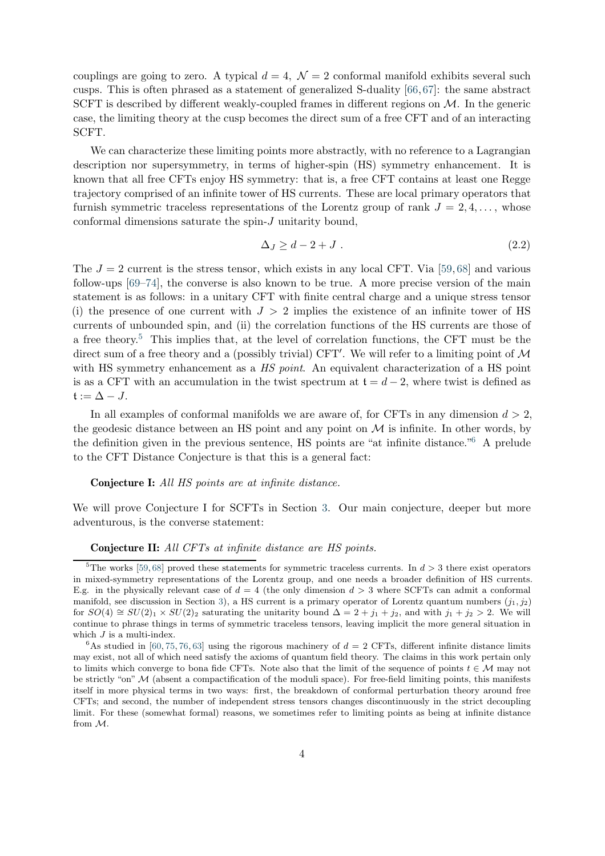couplings are going to zero. A typical  $d = 4$ ,  $\mathcal{N} = 2$  conformal manifold exhibits several such cusps. This is often phrased as a statement of generalized S-duality [\[66,](#page-26-6)[67\]](#page-26-7): the same abstract SCFT is described by different weakly-coupled frames in different regions on  $M$ . In the generic case, the limiting theory at the cusp becomes the direct sum of a free CFT and of an interacting SCFT.

We can characterize these limiting points more abstractly, with no reference to a Lagrangian description nor supersymmetry, in terms of higher-spin (HS) symmetry enhancement. It is known that all free CFTs enjoy HS symmetry: that is, a free CFT contains at least one Regge trajectory comprised of an infinite tower of HS currents. These are local primary operators that furnish symmetric traceless representations of the Lorentz group of rank  $J = 2, 4, \ldots$ , whose conformal dimensions saturate the spin-J unitarity bound,

$$
\Delta J \ge d - 2 + J \tag{2.2}
$$

The  $J = 2$  current is the stress tensor, which exists in any local CFT. Via [\[59,](#page-26-1)[68\]](#page-26-8) and various follow-ups [\[69](#page-26-9)[–74\]](#page-27-0), the converse is also known to be true. A more precise version of the main statement is as follows: in a unitary CFT with finite central charge and a unique stress tensor (i) the presence of one current with  $J > 2$  implies the existence of an infinite tower of HS currents of unbounded spin, and (ii) the correlation functions of the HS currents are those of a free theory.[5](#page-4-0) This implies that, at the level of correlation functions, the CFT must be the direct sum of a free theory and a (possibly trivial) CFT'. We will refer to a limiting point of  $\mathcal M$ with HS symmetry enhancement as a *HS point*. An equivalent characterization of a HS point is as a CFT with an accumulation in the twist spectrum at  $t = d - 2$ , where twist is defined as  $t := \Delta - J$ .

In all examples of conformal manifolds we are aware of, for CFTs in any dimension  $d > 2$ , the geodesic distance between an HS point and any point on  $\mathcal M$  is infinite. In other words, by the definition given in the previous sentence, HS points are "at infinite distance."[6](#page-4-1) A prelude to the CFT Distance Conjecture is that this is a general fact:

Conjecture I: All HS points are at infinite distance.

We will prove Conjecture I for SCFTs in Section [3.](#page-8-0) Our main conjecture, deeper but more adventurous, is the converse statement:

#### Conjecture II: All CFTs at infinite distance are HS points.

<span id="page-4-0"></span><sup>&</sup>lt;sup>5</sup>The works [\[59,](#page-26-1)[68\]](#page-26-8) proved these statements for symmetric traceless currents. In  $d > 3$  there exist operators in mixed-symmetry representations of the Lorentz group, and one needs a broader definition of HS currents. E.g. in the physically relevant case of  $d = 4$  (the only dimension  $d > 3$  where SCFTs can admit a conformal manifold, see discussion in Section [3\)](#page-8-0), a HS current is a primary operator of Lorentz quantum numbers  $(j_1, j_2)$ for  $SO(4) \cong SU(2)_1 \times SU(2)_2$  saturating the unitarity bound  $\Delta = 2 + j_1 + j_2$ , and with  $j_1 + j_2 > 2$ . We will continue to phrase things in terms of symmetric traceless tensors, leaving implicit the more general situation in which  $J$  is a multi-index.

<span id="page-4-1"></span> $6$ As studied in [\[60,](#page-26-2) [75,](#page-27-1) [76,](#page-27-2) [63\]](#page-26-3) using the rigorous machinery of  $d = 2$  CFTs, different infinite distance limits may exist, not all of which need satisfy the axioms of quantum field theory. The claims in this work pertain only to limits which converge to bona fide CFTs. Note also that the limit of the sequence of points  $t \in \mathcal{M}$  may not be strictly "on" M (absent a compactification of the moduli space). For free-field limiting points, this manifests itself in more physical terms in two ways: first, the breakdown of conformal perturbation theory around free CFTs; and second, the number of independent stress tensors changes discontinuously in the strict decoupling limit. For these (somewhat formal) reasons, we sometimes refer to limiting points as being at infinite distance from M.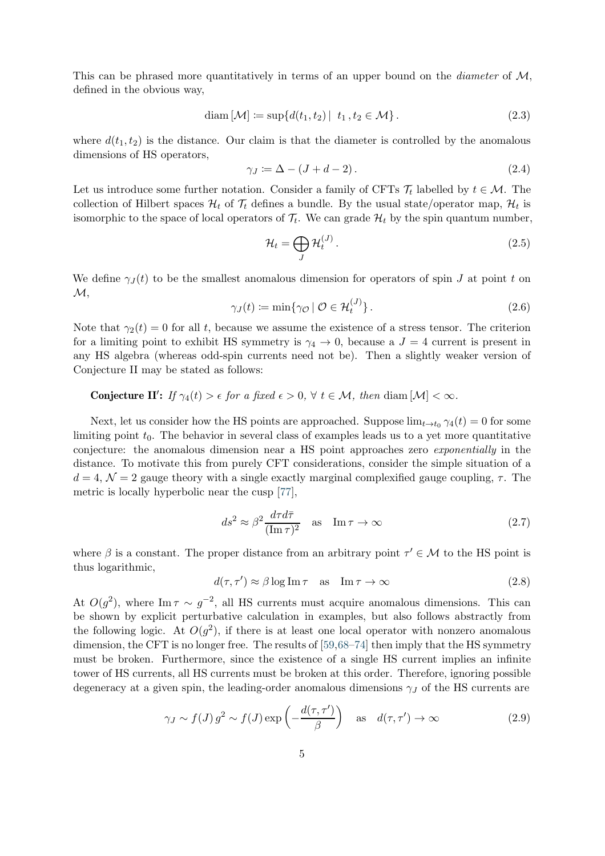This can be phrased more quantitatively in terms of an upper bound on the *diameter* of  $M$ , defined in the obvious way,

$$
diam [\mathcal{M}] := sup\{d(t_1, t_2) | t_1, t_2 \in \mathcal{M}\}.
$$
\n(2.3)

where  $d(t_1, t_2)$  is the distance. Our claim is that the diameter is controlled by the anomalous dimensions of HS operators,

$$
\gamma_J := \Delta - (J + d - 2). \tag{2.4}
$$

Let us introduce some further notation. Consider a family of CFTs  $\mathcal{T}_t$  labelled by  $t \in \mathcal{M}$ . The collection of Hilbert spaces  $\mathcal{H}_t$  of  $\mathcal{T}_t$  defines a bundle. By the usual state/operator map,  $\mathcal{H}_t$  is isomorphic to the space of local operators of  $\mathcal{T}_t$ . We can grade  $\mathcal{H}_t$  by the spin quantum number,

$$
\mathcal{H}_t = \bigoplus_J \mathcal{H}_t^{(J)}.
$$
\n(2.5)

We define  $\gamma_{J}(t)$  to be the smallest anomalous dimension for operators of spin J at point t on  $\mathcal{M},$ 

$$
\gamma_J(t) \coloneqq \min \{ \gamma_{\mathcal{O}} \mid \mathcal{O} \in \mathcal{H}_t^{(J)} \}. \tag{2.6}
$$

Note that  $\gamma_2(t) = 0$  for all t, because we assume the existence of a stress tensor. The criterion for a limiting point to exhibit HS symmetry is  $\gamma_4 \rightarrow 0$ , because a  $J = 4$  current is present in any HS algebra (whereas odd-spin currents need not be). Then a slightly weaker version of Conjecture II may be stated as follows:

# **Conjecture II':** If  $\gamma_4(t) > \epsilon$  for a fixed  $\epsilon > 0$ ,  $\forall$   $t \in \mathcal{M}$ , then diam  $[\mathcal{M}] < \infty$ .

Next, let us consider how the HS points are approached. Suppose  $\lim_{t\to t_0} \gamma_4(t) = 0$  for some limiting point  $t_0$ . The behavior in several class of examples leads us to a yet more quantitative conjecture: the anomalous dimension near a HS point approaches zero exponentially in the distance. To motivate this from purely CFT considerations, consider the simple situation of a  $d = 4, \mathcal{N} = 2$  gauge theory with a single exactly marginal complexified gauge coupling,  $\tau$ . The metric is locally hyperbolic near the cusp [\[77\]](#page-27-3),

<span id="page-5-1"></span>
$$
ds^2 \approx \beta^2 \frac{d\tau d\bar{\tau}}{(\text{Im}\,\tau)^2} \quad \text{as} \quad \text{Im}\,\tau \to \infty \tag{2.7}
$$

where  $\beta$  is a constant. The proper distance from an arbitrary point  $\tau' \in \mathcal{M}$  to the HS point is thus logarithmic,

$$
d(\tau, \tau') \approx \beta \log \operatorname{Im} \tau \quad \text{as} \quad \operatorname{Im} \tau \to \infty \tag{2.8}
$$

At  $O(g^2)$ , where Im  $\tau \sim g^{-2}$ , all HS currents must acquire anomalous dimensions. This can be shown by explicit perturbative calculation in examples, but also follows abstractly from the following logic. At  $O(g^2)$ , if there is at least one local operator with nonzero anomalous dimension, the CFT is no longer free. The results of [\[59,](#page-26-1)[68–](#page-26-8)[74\]](#page-27-0) then imply that the HS symmetry must be broken. Furthermore, since the existence of a single HS current implies an infinite tower of HS currents, all HS currents must be broken at this order. Therefore, ignoring possible degeneracy at a given spin, the leading-order anomalous dimensions  $\gamma_J$  of the HS currents are

<span id="page-5-0"></span>
$$
\gamma_J \sim f(J) g^2 \sim f(J) \exp\left(-\frac{d(\tau, \tau')}{\beta}\right)
$$
 as  $d(\tau, \tau') \to \infty$  (2.9)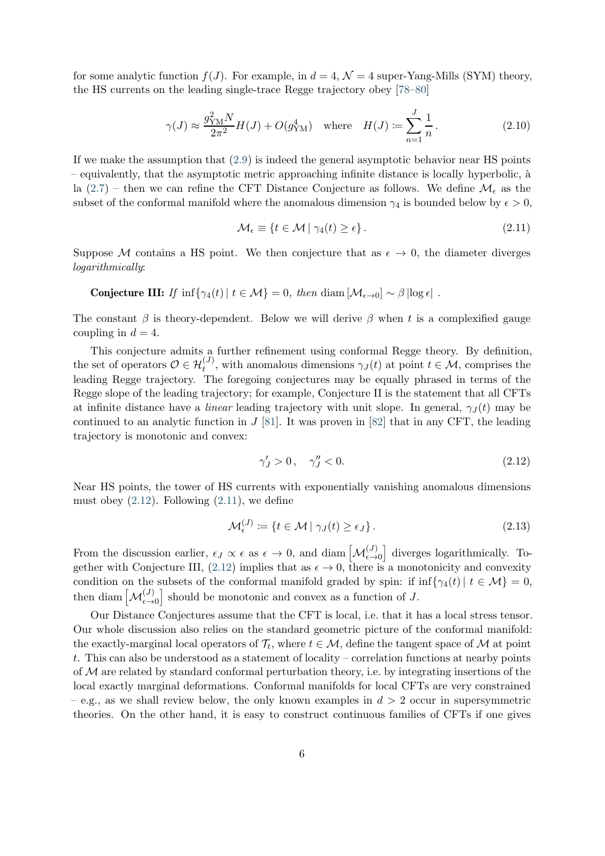for some analytic function  $f(J)$ . For example, in  $d = 4$ ,  $\mathcal{N} = 4$  super-Yang-Mills (SYM) theory, the HS currents on the leading single-trace Regge trajectory obey [\[78](#page-27-4)[–80\]](#page-27-5)

$$
\gamma(J) \approx \frac{g_{\rm YM}^2 N}{2\pi^2} H(J) + O(g_{\rm YM}^4)
$$
 where  $H(J) \coloneqq \sum_{n=1}^J \frac{1}{n}$ . (2.10)

If we make the assumption that [\(2.9\)](#page-5-0) is indeed the general asymptotic behavior near HS points  $-$  equivalently, that the asymptotic metric approaching infinite distance is locally hyperbolic,  $\hat{a}$ la [\(2.7\)](#page-5-1) – then we can refine the CFT Distance Conjecture as follows. We define  $\mathcal{M}_{\epsilon}$  as the subset of the conformal manifold where the anomalous dimension  $\gamma_4$  is bounded below by  $\epsilon > 0$ ,

<span id="page-6-1"></span>
$$
\mathcal{M}_{\epsilon} \equiv \{ t \in \mathcal{M} \mid \gamma_4(t) \ge \epsilon \}. \tag{2.11}
$$

Suppose M contains a HS point. We then conjecture that as  $\epsilon \to 0$ , the diameter diverges logarithmically:

**Conjecture III:** If 
$$
\inf \{ \gamma_4(t) | t \in \mathcal{M} \} = 0
$$
, then  $\text{diam} [\mathcal{M}_{\epsilon \to 0}] \sim \beta |\log \epsilon|$ .

The constant  $\beta$  is theory-dependent. Below we will derive  $\beta$  when t is a complexified gauge coupling in  $d = 4$ .

This conjecture admits a further refinement using conformal Regge theory. By definition, the set of operators  $\mathcal{O} \in \mathcal{H}_t^{(J)}$ , with anomalous dimensions  $\gamma_J(t)$  at point  $t \in \mathcal{M}$ , comprises the leading Regge trajectory. The foregoing conjectures may be equally phrased in terms of the Regge slope of the leading trajectory; for example, Conjecture II is the statement that all CFTs at infinite distance have a *linear* leading trajectory with unit slope. In general,  $\gamma_J(t)$  may be continued to an analytic function in  $J$  [\[81\]](#page-27-6). It was proven in [\[82\]](#page-27-7) that in any CFT, the leading trajectory is monotonic and convex:

<span id="page-6-0"></span>
$$
\gamma'_J > 0, \quad \gamma''_J < 0. \tag{2.12}
$$

Near HS points, the tower of HS currents with exponentially vanishing anomalous dimensions must obey  $(2.12)$ . Following  $(2.11)$ , we define

$$
\mathcal{M}_{\epsilon}^{(J)} \coloneqq \{ t \in \mathcal{M} \mid \gamma_J(t) \ge \epsilon_J \}. \tag{2.13}
$$

From the discussion earlier,  $\epsilon_J \propto \epsilon$  as  $\epsilon \to 0$ , and diam  $\left[\mathcal{M}_{\epsilon \to 0}^{(J)}\right]$  diverges logarithmically. To-gether with Conjecture III, [\(2.12\)](#page-6-0) implies that as  $\epsilon \to 0$ , there is a monotonicity and convexity condition on the subsets of the conformal manifold graded by spin: if  $\inf \{ \gamma_4(t) | t \in \mathcal{M} \} = 0$ , then diam  $\left[\mathcal{M}_{\epsilon\to 0}^{(J)}\right]$  should be monotonic and convex as a function of J.

Our Distance Conjectures assume that the CFT is local, i.e. that it has a local stress tensor. Our whole discussion also relies on the standard geometric picture of the conformal manifold: the exactly-marginal local operators of  $\mathcal{T}_t$ , where  $t \in \mathcal{M}$ , define the tangent space of  $\mathcal M$  at point t. This can also be understood as a statement of locality – correlation functions at nearby points of  $M$  are related by standard conformal perturbation theory, i.e. by integrating insertions of the local exactly marginal deformations. Conformal manifolds for local CFTs are very constrained – e.g., as we shall review below, the only known examples in  $d > 2$  occur in supersymmetric theories. On the other hand, it is easy to construct continuous families of CFTs if one gives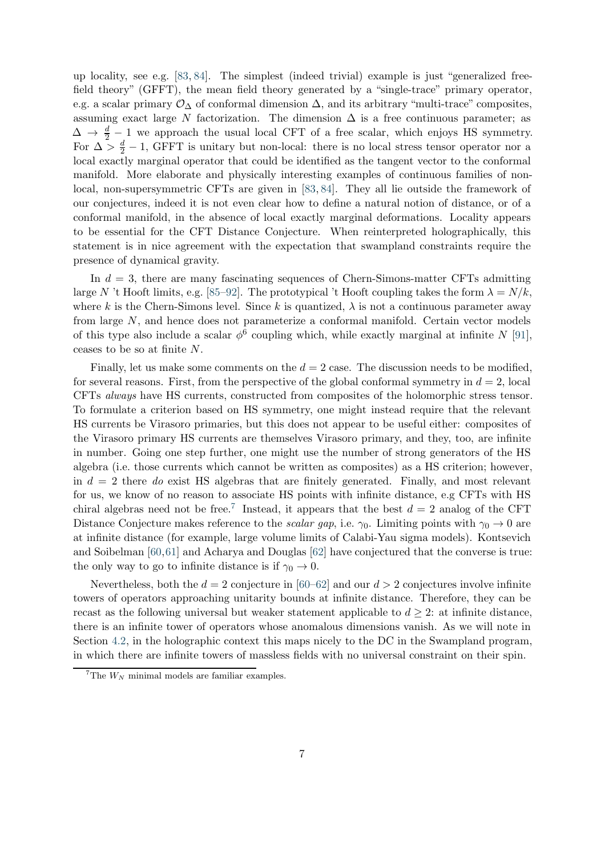up locality, see e.g. [\[83,](#page-27-8) [84\]](#page-27-9). The simplest (indeed trivial) example is just "generalized freefield theory" (GFFT), the mean field theory generated by a "single-trace" primary operator, e.g. a scalar primary  $\mathcal{O}_{\Delta}$  of conformal dimension  $\Delta$ , and its arbitrary "multi-trace" composites, assuming exact large N factorization. The dimension  $\Delta$  is a free continuous parameter; as  $\Delta \rightarrow \frac{d}{2} - 1$  we approach the usual local CFT of a free scalar, which enjoys HS symmetry. For  $\Delta > \frac{d}{2} - 1$ , GFFT is unitary but non-local: there is no local stress tensor operator nor a local exactly marginal operator that could be identified as the tangent vector to the conformal manifold. More elaborate and physically interesting examples of continuous families of nonlocal, non-supersymmetric CFTs are given in [\[83,](#page-27-8) [84\]](#page-27-9). They all lie outside the framework of our conjectures, indeed it is not even clear how to define a natural notion of distance, or of a conformal manifold, in the absence of local exactly marginal deformations. Locality appears to be essential for the CFT Distance Conjecture. When reinterpreted holographically, this statement is in nice agreement with the expectation that swampland constraints require the presence of dynamical gravity.

In  $d = 3$ , there are many fascinating sequences of Chern-Simons-matter CFTs admitting large N't Hooft limits, e.g. [\[85–](#page-27-10)[92\]](#page-28-0). The prototypical 't Hooft coupling takes the form  $\lambda = N/k$ , where k is the Chern-Simons level. Since k is quantized,  $\lambda$  is not a continuous parameter away from large N, and hence does not parameterize a conformal manifold. Certain vector models of this type also include a scalar  $\phi^6$  coupling which, while exactly marginal at infinite N [\[91\]](#page-28-1), ceases to be so at finite N.

Finally, let us make some comments on the  $d = 2$  case. The discussion needs to be modified, for several reasons. First, from the perspective of the global conformal symmetry in  $d = 2$ , local CFTs always have HS currents, constructed from composites of the holomorphic stress tensor. To formulate a criterion based on HS symmetry, one might instead require that the relevant HS currents be Virasoro primaries, but this does not appear to be useful either: composites of the Virasoro primary HS currents are themselves Virasoro primary, and they, too, are infinite in number. Going one step further, one might use the number of strong generators of the HS algebra (i.e. those currents which cannot be written as composites) as a HS criterion; however, in  $d = 2$  there do exist HS algebras that are finitely generated. Finally, and most relevant for us, we know of no reason to associate HS points with infinite distance, e.g CFTs with HS chiral algebras need not be free.<sup>[7](#page-7-0)</sup> Instead, it appears that the best  $d = 2$  analog of the CFT Distance Conjecture makes reference to the *scalar gap*, i.e.  $\gamma_0$ . Limiting points with  $\gamma_0 \to 0$  are at infinite distance (for example, large volume limits of Calabi-Yau sigma models). Kontsevich and Soibelman [\[60,](#page-26-2)[61\]](#page-26-10) and Acharya and Douglas [\[62\]](#page-26-11) have conjectured that the converse is true: the only way to go to infinite distance is if  $\gamma_0 \rightarrow 0$ .

Nevertheless, both the  $d = 2$  conjecture in [\[60–](#page-26-2)[62\]](#page-26-11) and our  $d > 2$  conjectures involve infinite towers of operators approaching unitarity bounds at infinite distance. Therefore, they can be recast as the following universal but weaker statement applicable to  $d \geq 2$ : at infinite distance, there is an infinite tower of operators whose anomalous dimensions vanish. As we will note in Section [4.2,](#page-19-0) in the holographic context this maps nicely to the DC in the Swampland program, in which there are infinite towers of massless fields with no universal constraint on their spin.

<span id="page-7-0"></span><sup>&</sup>lt;sup>7</sup>The  $W_N$  minimal models are familiar examples.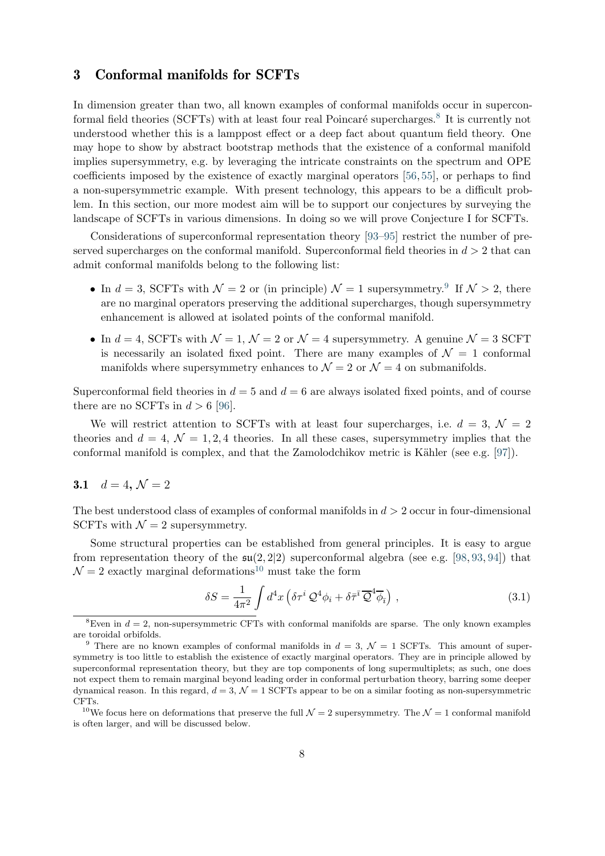# <span id="page-8-0"></span>3 Conformal manifolds for SCFTs

In dimension greater than two, all known examples of conformal manifolds occur in supercon-formal field theories (SCFTs) with at least four real Poincaré supercharges.<sup>[8](#page-8-2)</sup> It is currently not understood whether this is a lamppost effect or a deep fact about quantum field theory. One may hope to show by abstract bootstrap methods that the existence of a conformal manifold implies supersymmetry, e.g. by leveraging the intricate constraints on the spectrum and OPE coefficients imposed by the existence of exactly marginal operators [\[56,](#page-26-12) [55\]](#page-25-9), or perhaps to find a non-supersymmetric example. With present technology, this appears to be a difficult problem. In this section, our more modest aim will be to support our conjectures by surveying the landscape of SCFTs in various dimensions. In doing so we will prove Conjecture I for SCFTs.

Considerations of superconformal representation theory [\[93](#page-28-2)[–95\]](#page-28-3) restrict the number of preserved supercharges on the conformal manifold. Superconformal field theories in  $d > 2$  that can admit conformal manifolds belong to the following list:

- In  $d = 3$ , SCFTs with  $\mathcal{N} = 2$  or (in principle)  $\mathcal{N} = 1$  supersymmetry.<sup>[9](#page-8-3)</sup> If  $\mathcal{N} > 2$ , there are no marginal operators preserving the additional supercharges, though supersymmetry enhancement is allowed at isolated points of the conformal manifold.
- In  $d = 4$ , SCFTs with  $\mathcal{N} = 1$ ,  $\mathcal{N} = 2$  or  $\mathcal{N} = 4$  supersymmetry. A genuine  $\mathcal{N} = 3$  SCFT is necessarily an isolated fixed point. There are many examples of  $\mathcal{N} = 1$  conformal manifolds where supersymmetry enhances to  $\mathcal{N}=2$  or  $\mathcal{N}=4$  on submanifolds.

Superconformal field theories in  $d = 5$  and  $d = 6$  are always isolated fixed points, and of course there are no SCFTs in  $d > 6$  [\[96\]](#page-28-4).

We will restrict attention to SCFTs with at least four supercharges, i.e.  $d = 3, \mathcal{N} = 2$ theories and  $d = 4$ ,  $\mathcal{N} = 1, 2, 4$  theories. In all these cases, supersymmetry implies that the conformal manifold is complex, and that the Zamolodchikov metric is Kähler (see e.g.  $[97]$ ).

# <span id="page-8-1"></span>3.1  $d = 4, \mathcal{N} = 2$

The best understood class of examples of conformal manifolds in  $d > 2$  occur in four-dimensional SCFTs with  $\mathcal{N}=2$  supersymmetry.

Some structural properties can be established from general principles. It is easy to argue from representation theory of the  $\mathfrak{su}(2, 2|2)$  superconformal algebra (see e.g. [\[98,](#page-28-6) [93,](#page-28-2) [94\]](#page-28-7)) that  $\mathcal{N} = 2$  exactly marginal deformations<sup>[10](#page-8-4)</sup> must take the form

$$
\delta S = \frac{1}{4\pi^2} \int d^4x \left( \delta \tau^i \mathcal{Q}^4 \phi_i + \delta \bar{\tau}^{\bar{\imath}} \overline{\mathcal{Q}}^4 \overline{\phi}_{\bar{\imath}} \right) , \qquad (3.1)
$$

<span id="page-8-2"></span><sup>&</sup>lt;sup>8</sup>Even in  $d = 2$ , non-supersymmetric CFTs with conformal manifolds are sparse. The only known examples are toroidal orbifolds.

<span id="page-8-3"></span><sup>&</sup>lt;sup>9</sup> There are no known examples of conformal manifolds in  $d = 3$ ,  $\mathcal{N} = 1$  SCFTs. This amount of supersymmetry is too little to establish the existence of exactly marginal operators. They are in principle allowed by superconformal representation theory, but they are top components of long supermultiplets; as such, one does not expect them to remain marginal beyond leading order in conformal perturbation theory, barring some deeper dynamical reason. In this regard,  $d = 3$ ,  $\mathcal{N} = 1$  SCFTs appear to be on a similar footing as non-supersymmetric CFTs.

<span id="page-8-4"></span><sup>&</sup>lt;sup>10</sup>We focus here on deformations that preserve the full  $\mathcal{N}=2$  supersymmetry. The  $\mathcal{N}=1$  conformal manifold is often larger, and will be discussed below.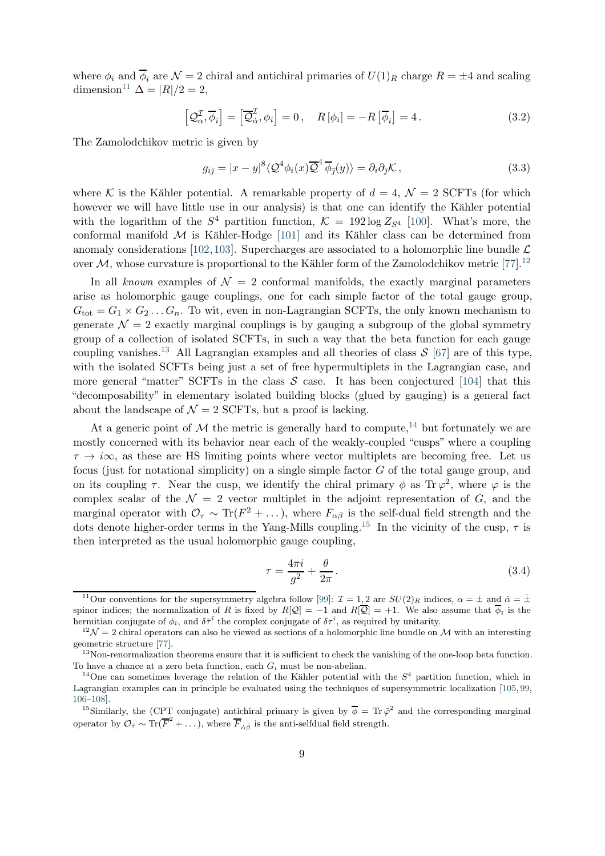where  $\phi_i$  and  $\overline{\phi}_i$  are  $\mathcal{N} = 2$  chiral and antichiral primaries of  $U(1)_R$  charge  $R = \pm 4$  and scaling dimension<sup>[11](#page-9-0)</sup>  $\Delta = |R|/2 = 2$ ,

$$
\left[\mathcal{Q}_{\alpha}^{\mathcal{I}}, \overline{\phi}_{i}\right] = \left[\overline{\mathcal{Q}}_{\dot{\alpha}}^{\mathcal{I}}, \phi_{i}\right] = 0, \quad R\left[\phi_{i}\right] = -R\left[\overline{\phi}_{i}\right] = 4. \tag{3.2}
$$

The Zamolodchikov metric is given by

$$
g_{i\bar{j}} = |x - y|^8 \langle \mathcal{Q}^4 \phi_i(x) \overline{\mathcal{Q}}^4 \overline{\phi}_{\bar{j}}(y) \rangle = \partial_i \partial_{\bar{j}} \mathcal{K}, \qquad (3.3)
$$

where K is the Kähler potential. A remarkable property of  $d = 4$ ,  $\mathcal{N} = 2$  SCFTs (for which however we will have little use in our analysis) is that one can identify the Kähler potential with the logarithm of the  $S^4$  partition function,  $\mathcal{K} = 192 \log Z_{S^4}$  [\[100\]](#page-28-8). What's more, the conformal manifold  $M$  is Kähler-Hodge [\[101\]](#page-28-9) and its Kähler class can be determined from anomaly considerations [\[102,](#page-28-10)[103\]](#page-28-11). Supercharges are associated to a holomorphic line bundle  $\mathcal{L}$ over  $M$ , whose curvature is proportional to the Kähler form of the Zamolodchikov metric [\[77\]](#page-27-3).<sup>[12](#page-9-1)</sup>

In all known examples of  $\mathcal{N} = 2$  conformal manifolds, the exactly marginal parameters arise as holomorphic gauge couplings, one for each simple factor of the total gauge group,  $G_{\text{tot}} = G_1 \times G_2 \dots G_n$ . To wit, even in non-Lagrangian SCFTs, the only known mechanism to generate  $\mathcal{N} = 2$  exactly marginal couplings is by gauging a subgroup of the global symmetry group of a collection of isolated SCFTs, in such a way that the beta function for each gauge coupling vanishes.<sup>[13](#page-9-2)</sup> All Lagrangian examples and all theories of class  $\mathcal{S}$  [\[67\]](#page-26-7) are of this type, with the isolated SCFTs being just a set of free hypermultiplets in the Lagrangian case, and more general "matter" SCFTs in the class  $S$  case. It has been conjectured [\[104\]](#page-28-12) that this "decomposability" in elementary isolated building blocks (glued by gauging) is a general fact about the landscape of  $\mathcal{N} = 2$  SCFTs, but a proof is lacking.

At a generic point of M the metric is generally hard to compute,<sup>[14](#page-9-3)</sup> but fortunately we are mostly concerned with its behavior near each of the weakly-coupled "cusps" where a coupling  $\tau \to i\infty$ , as these are HS limiting points where vector multiplets are becoming free. Let us focus (just for notational simplicity) on a single simple factor G of the total gauge group, and on its coupling  $\tau$ . Near the cusp, we identify the chiral primary  $\phi$  as  $\text{Tr }\varphi^2$ , where  $\varphi$  is the complex scalar of the  $\mathcal{N} = 2$  vector multiplet in the adjoint representation of G, and the marginal operator with  $\mathcal{O}_{\tau} \sim Tr(F^2 + ...),$  where  $F_{\alpha\beta}$  is the self-dual field strength and the dots denote higher-order terms in the Yang-Mills coupling.<sup>[15](#page-9-4)</sup> In the vicinity of the cusp,  $\tau$  is then interpreted as the usual holomorphic gauge coupling,

<span id="page-9-5"></span>
$$
\tau = \frac{4\pi i}{g^2} + \frac{\theta}{2\pi} \,. \tag{3.4}
$$

<span id="page-9-0"></span><sup>&</sup>lt;sup>11</sup>Our conventions for the supersymmetry algebra follow [\[99\]](#page-28-13):  $\mathcal{I} = 1, 2$  are  $SU(2)_R$  indices,  $\alpha = \pm$  and  $\dot{\alpha} = \dot{\pm}$ spinor indices; the normalization of R is fixed by  $R[Q] = -1$  and  $R[Q] = +1$ . We also assume that  $\phi_{\bar{i}}$  is the hermitian conjugate of  $\phi_{\bar{\imath}}$ , and  $\delta \bar{\tau}^{\bar{\imath}}$  the complex conjugate of  $\delta \tau^i$ , as required by unitarity.

<span id="page-9-1"></span> $12\mathcal{N}=2$  chiral operators can also be viewed as sections of a holomorphic line bundle on M with an interesting geometric structure [\[77\]](#page-27-3).

<span id="page-9-2"></span><sup>&</sup>lt;sup>13</sup>Non-renormalization theorems ensure that it is sufficient to check the vanishing of the one-loop beta function. To have a chance at a zero beta function, each  $G_i$  must be non-abelian.

<span id="page-9-3"></span><sup>&</sup>lt;sup>14</sup>One can sometimes leverage the relation of the Kähler potential with the  $S<sup>4</sup>$  partition function, which in Lagrangian examples can in principle be evaluated using the techniques of supersymmetric localization [\[105,](#page-28-14) [99,](#page-28-13) [106](#page-29-0)[–108\]](#page-29-1).

<span id="page-9-4"></span><sup>&</sup>lt;sup>15</sup>Similarly, the (CPT conjugate) antichiral primary is given by  $\overline{\phi} = \text{Tr } \overline{\phi}^2$  and the corresponding marginal operator by  $\mathcal{O}_{\bar{\tau}} \sim \text{Tr}(\overline{F}^2 + \dots)$ , where  $\overline{F}_{\dot{\alpha}\dot{\beta}}$  is the anti-selfdual field strength.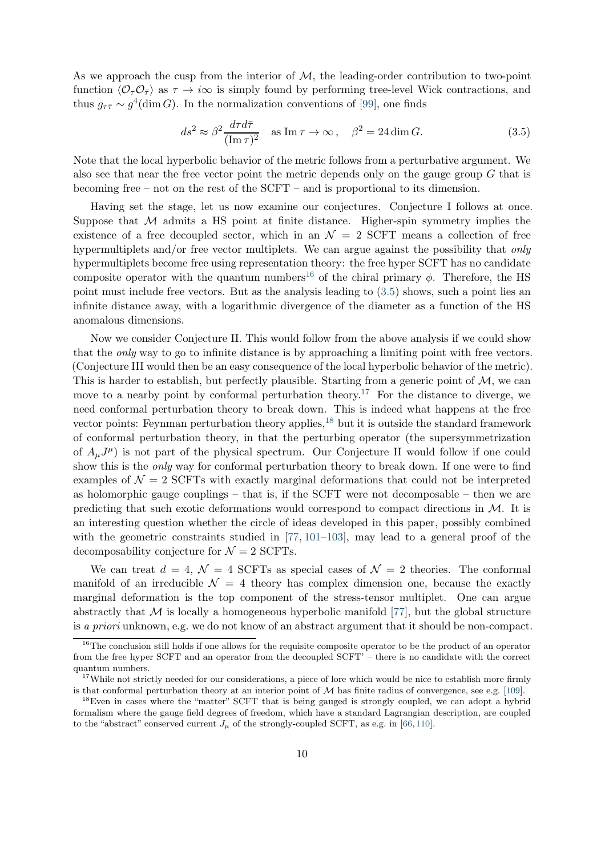As we approach the cusp from the interior of  $M$ , the leading-order contribution to two-point function  $\langle \mathcal{O}_\tau \mathcal{O}_{\bar{\tau}} \rangle$  as  $\tau \to i\infty$  is simply found by performing tree-level Wick contractions, and thus  $g_{\tau\bar{\tau}} \sim g^4(\dim G)$ . In the normalization conventions of [\[99\]](#page-28-13), one finds

<span id="page-10-1"></span>
$$
ds^2 \approx \beta^2 \frac{d\tau d\bar{\tau}}{(\text{Im}\,\tau)^2} \quad \text{as } \text{Im}\,\tau \to \infty \,, \quad \beta^2 = 24 \dim G. \tag{3.5}
$$

Note that the local hyperbolic behavior of the metric follows from a perturbative argument. We also see that near the free vector point the metric depends only on the gauge group  $G$  that is becoming free – not on the rest of the SCFT – and is proportional to its dimension.

Having set the stage, let us now examine our conjectures. Conjecture I follows at once. Suppose that  $M$  admits a HS point at finite distance. Higher-spin symmetry implies the existence of a free decoupled sector, which in an  $\mathcal{N} = 2$  SCFT means a collection of free hypermultiplets and/or free vector multiplets. We can argue against the possibility that *only* hypermultiplets become free using representation theory: the free hyper SCFT has no candidate composite operator with the quantum numbers<sup>[16](#page-10-0)</sup> of the chiral primary  $\phi$ . Therefore, the HS point must include free vectors. But as the analysis leading to [\(3.5\)](#page-10-1) shows, such a point lies an infinite distance away, with a logarithmic divergence of the diameter as a function of the HS anomalous dimensions.

Now we consider Conjecture II. This would follow from the above analysis if we could show that the only way to go to infinite distance is by approaching a limiting point with free vectors. (Conjecture III would then be an easy consequence of the local hyperbolic behavior of the metric). This is harder to establish, but perfectly plausible. Starting from a generic point of  $M$ , we can move to a nearby point by conformal perturbation theory.<sup>[17](#page-10-2)</sup> For the distance to diverge, we need conformal perturbation theory to break down. This is indeed what happens at the free vector points: Feynman perturbation theory applies,  $^{18}$  $^{18}$  $^{18}$  but it is outside the standard framework of conformal perturbation theory, in that the perturbing operator (the supersymmetrization of  $A_{\mu}J^{\mu}$  is not part of the physical spectrum. Our Conjecture II would follow if one could show this is the only way for conformal perturbation theory to break down. If one were to find examples of  $\mathcal{N} = 2$  SCFTs with exactly marginal deformations that could not be interpreted as holomorphic gauge couplings – that is, if the SCFT were not decomposable – then we are predicting that such exotic deformations would correspond to compact directions in M. It is an interesting question whether the circle of ideas developed in this paper, possibly combined with the geometric constraints studied in [\[77,](#page-27-3) [101–](#page-28-9)[103\]](#page-28-11), may lead to a general proof of the decomposability conjecture for  $\mathcal{N}=2$  SCFTs.

We can treat  $d = 4$ ,  $\mathcal{N} = 4$  SCFTs as special cases of  $\mathcal{N} = 2$  theories. The conformal manifold of an irreducible  $\mathcal{N} = 4$  theory has complex dimension one, because the exactly marginal deformation is the top component of the stress-tensor multiplet. One can argue abstractly that  $M$  is locally a homogeneous hyperbolic manifold [\[77\]](#page-27-3), but the global structure is a priori unknown, e.g. we do not know of an abstract argument that it should be non-compact.

<span id="page-10-0"></span><sup>&</sup>lt;sup>16</sup>The conclusion still holds if one allows for the requisite composite operator to be the product of an operator from the free hyper SCFT and an operator from the decoupled SCFT' – there is no candidate with the correct quantum numbers.

 $17$ While not strictly needed for our considerations, a piece of lore which would be nice to establish more firmly is that conformal perturbation theory at an interior point of  $\mathcal M$  has finite radius of convergence, see e.g. [\[109\]](#page-29-2).

<span id="page-10-3"></span><span id="page-10-2"></span><sup>&</sup>lt;sup>18</sup>Even in cases where the "matter" SCFT that is being gauged is strongly coupled, we can adopt a hybrid formalism where the gauge field degrees of freedom, which have a standard Lagrangian description, are coupled to the "abstract" conserved current  $J_\mu$  of the strongly-coupled SCFT, as e.g. in [\[66,](#page-26-6)[110\]](#page-29-3).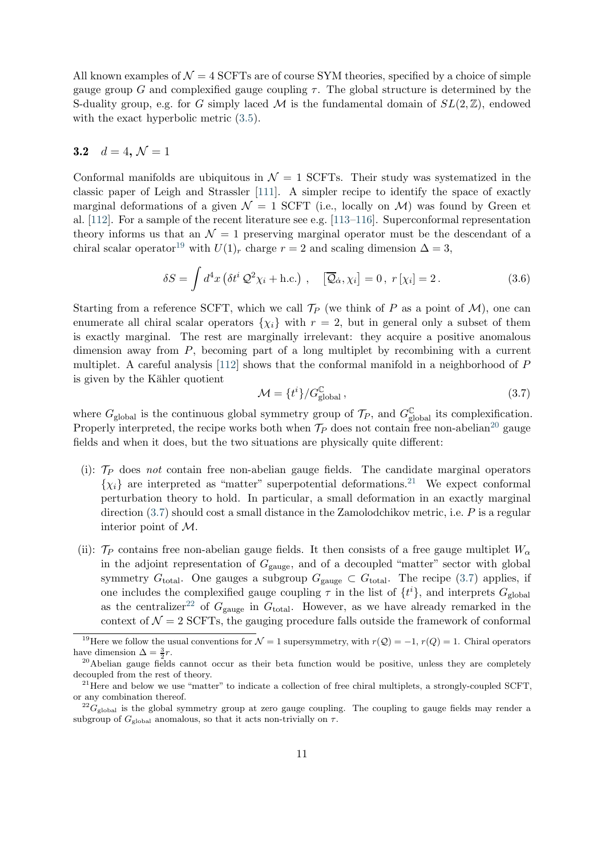All known examples of  $\mathcal{N} = 4$  SCFTs are of course SYM theories, specified by a choice of simple gauge group G and complexified gauge coupling  $\tau$ . The global structure is determined by the S-duality group, e.g. for G simply laced M is the fundamental domain of  $SL(2,\mathbb{Z})$ , endowed with the exact hyperbolic metric [\(3.5\)](#page-10-1).

## <span id="page-11-0"></span>3.2  $d = 4, \mathcal{N} = 1$

Conformal manifolds are ubiquitous in  $\mathcal{N} = 1$  SCFTs. Their study was systematized in the classic paper of Leigh and Strassler [\[111\]](#page-29-4). A simpler recipe to identify the space of exactly marginal deformations of a given  $\mathcal{N} = 1$  SCFT (i.e., locally on  $\mathcal{M}$ ) was found by Green et al. [\[112\]](#page-29-5). For a sample of the recent literature see e.g. [\[113](#page-29-6)[–116\]](#page-29-7). Superconformal representation theory informs us that an  $\mathcal{N} = 1$  preserving marginal operator must be the descendant of a chiral scalar operator<sup>[19](#page-11-1)</sup> with  $U(1)_r$  charge  $r = 2$  and scaling dimension  $\Delta = 3$ ,

$$
\delta S = \int d^4x \left( \delta t^i \mathcal{Q}^2 \chi_i + \text{h.c.} \right) , \quad \left[ \overline{\mathcal{Q}}_{\dot{\alpha}}, \chi_i \right] = 0 , \ r[\chi_i] = 2 . \tag{3.6}
$$

Starting from a reference SCFT, which we call  $\mathcal{T}_P$  (we think of P as a point of M), one can enumerate all chiral scalar operators  $\{\chi_i\}$  with  $r = 2$ , but in general only a subset of them is exactly marginal. The rest are marginally irrelevant: they acquire a positive anomalous dimension away from P, becoming part of a long multiplet by recombining with a current multiplet. A careful analysis [\[112\]](#page-29-5) shows that the conformal manifold in a neighborhood of P is given by the Kähler quotient

<span id="page-11-4"></span>
$$
\mathcal{M} = \{t^i\}/G_{\text{global}}^{\mathbb{C}},\tag{3.7}
$$

where  $G_{\text{global}}$  is the continuous global symmetry group of  $\mathcal{T}_P$ , and  $G_{\text{global}}^{\mathbb{C}}$  its complexification. Properly interpreted, the recipe works both when  $\mathcal{T}_P$  does not contain free non-abelian<sup>[20](#page-11-2)</sup> gauge fields and when it does, but the two situations are physically quite different:

- (i):  $\mathcal{T}_P$  does not contain free non-abelian gauge fields. The candidate marginal operators  $\{\chi_i\}$  are interpreted as "matter" superpotential deformations.<sup>[21](#page-11-3)</sup> We expect conformal perturbation theory to hold. In particular, a small deformation in an exactly marginal direction  $(3.7)$  should cost a small distance in the Zamolodchikov metric, i.e. P is a regular interior point of M.
- (ii):  $\mathcal{T}_P$  contains free non-abelian gauge fields. It then consists of a free gauge multiplet  $W_\alpha$ in the adjoint representation of  $G_{\text{gauge}}$ , and of a decoupled "matter" sector with global symmetry  $G_{\text{total}}$ . One gauges a subgroup  $G_{\text{gauge}} \subset G_{\text{total}}$ . The recipe [\(3.7\)](#page-11-4) applies, if one includes the complexified gauge coupling  $\tau$  in the list of  $\{t^i\}$ , and interprets  $G_{\text{global}}$ as the centralizer<sup>[22](#page-11-5)</sup> of  $G_{\text{gauge}}$  in  $G_{\text{total}}$ . However, as we have already remarked in the context of  $\mathcal{N} = 2$  SCFTs, the gauging procedure falls outside the framework of conformal

<span id="page-11-1"></span><sup>&</sup>lt;sup>19</sup>Here we follow the usual conventions for  $\mathcal{N} = 1$  supersymmetry, with  $r(\mathcal{Q}) = -1$ ,  $r(Q) = 1$ . Chiral operators have dimension  $\Delta = \frac{3}{2}r$ .

<span id="page-11-2"></span><sup>&</sup>lt;sup>20</sup>Abelian gauge fields cannot occur as their beta function would be positive, unless they are completely decoupled from the rest of theory.

<span id="page-11-3"></span><sup>&</sup>lt;sup>21</sup>Here and below we use "matter" to indicate a collection of free chiral multiplets, a strongly-coupled SCFT, or any combination thereof.

<span id="page-11-5"></span> $^{22}G_{\rm global}$  is the global symmetry group at zero gauge coupling. The coupling to gauge fields may render a subgroup of  $G_{\text{global}}$  anomalous, so that it acts non-trivially on  $\tau$ .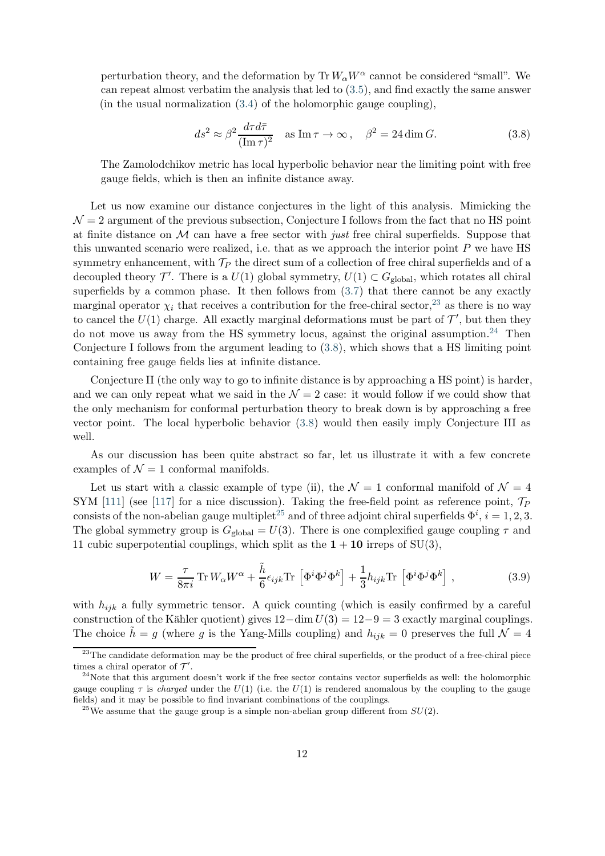perturbation theory, and the deformation by  $\text{Tr} W_{\alpha} W^{\alpha}$  cannot be considered "small". We can repeat almost verbatim the analysis that led to [\(3.5\)](#page-10-1), and find exactly the same answer (in the usual normalization  $(3.4)$  of the holomorphic gauge coupling),

<span id="page-12-2"></span>
$$
ds^2 \approx \beta^2 \frac{d\tau d\bar{\tau}}{(\text{Im}\,\tau)^2} \quad \text{as } \text{Im}\,\tau \to \infty \,, \quad \beta^2 = 24 \dim G. \tag{3.8}
$$

The Zamolodchikov metric has local hyperbolic behavior near the limiting point with free gauge fields, which is then an infinite distance away.

Let us now examine our distance conjectures in the light of this analysis. Mimicking the  $\mathcal{N}=2$  argument of the previous subsection, Conjecture I follows from the fact that no HS point at finite distance on  $\mathcal M$  can have a free sector with just free chiral superfields. Suppose that this unwanted scenario were realized, i.e. that as we approach the interior point  $P$  we have HS symmetry enhancement, with  $\mathcal{T}_P$  the direct sum of a collection of free chiral superfields and of a decoupled theory  $\mathcal{T}'$ . There is a  $U(1)$  global symmetry,  $U(1) \subset G_{\text{global}}$ , which rotates all chiral superfields by a common phase. It then follows from [\(3.7\)](#page-11-4) that there cannot be any exactly marginal operator  $\chi_i$  that receives a contribution for the free-chiral sector,<sup>[23](#page-12-0)</sup> as there is no way to cancel the  $U(1)$  charge. All exactly marginal deformations must be part of  $\mathcal{T}'$ , but then they do not move us away from the HS symmetry locus, against the original assumption.<sup>[24](#page-12-1)</sup> Then Conjecture I follows from the argument leading to [\(3.8\)](#page-12-2), which shows that a HS limiting point containing free gauge fields lies at infinite distance.

Conjecture II (the only way to go to infinite distance is by approaching a HS point) is harder, and we can only repeat what we said in the  $\mathcal{N}=2$  case: it would follow if we could show that the only mechanism for conformal perturbation theory to break down is by approaching a free vector point. The local hyperbolic behavior [\(3.8\)](#page-12-2) would then easily imply Conjecture III as well.

As our discussion has been quite abstract so far, let us illustrate it with a few concrete examples of  $\mathcal{N} = 1$  conformal manifolds.

Let us start with a classic example of type (ii), the  $\mathcal{N}=1$  conformal manifold of  $\mathcal{N}=4$ SYM [\[111\]](#page-29-4) (see [\[117\]](#page-29-8) for a nice discussion). Taking the free-field point as reference point,  $\mathcal{T}_P$ consists of the non-abelian gauge multiplet<sup>[25](#page-12-3)</sup> and of three adjoint chiral superfields  $\Phi^i$ ,  $i = 1, 2, 3$ . The global symmetry group is  $G_{\text{global}} = U(3)$ . There is one complexified gauge coupling  $\tau$  and 11 cubic superpotential couplings, which split as the  $1 + 10$  irreps of SU(3),

$$
W = \frac{\tau}{8\pi i} \operatorname{Tr} W_{\alpha} W^{\alpha} + \frac{\tilde{h}}{6} \epsilon_{ijk} \operatorname{Tr} \left[ \Phi^{i} \Phi^{j} \Phi^{k} \right] + \frac{1}{3} h_{ijk} \operatorname{Tr} \left[ \Phi^{i} \Phi^{j} \Phi^{k} \right], \tag{3.9}
$$

with  $h_{ijk}$  a fully symmetric tensor. A quick counting (which is easily confirmed by a careful construction of the Kähler quotient) gives  $12-\dim U(3) = 12-9 = 3$  exactly marginal couplings. The choice  $h = g$  (where g is the Yang-Mills coupling) and  $h_{ijk} = 0$  preserves the full  $\mathcal{N} = 4$ 

<span id="page-12-0"></span><sup>&</sup>lt;sup>23</sup>The candidate deformation may be the product of free chiral superfields, or the product of a free-chiral piece times a chiral operator of  $\mathcal{T}'$ .

<span id="page-12-1"></span> $24$ Note that this argument doesn't work if the free sector contains vector superfields as well: the holomorphic gauge coupling  $\tau$  is *charged* under the  $U(1)$  (i.e. the  $U(1)$  is rendered anomalous by the coupling to the gauge fields) and it may be possible to find invariant combinations of the couplings.

<span id="page-12-3"></span><sup>&</sup>lt;sup>25</sup>We assume that the gauge group is a simple non-abelian group different from  $SU(2)$ .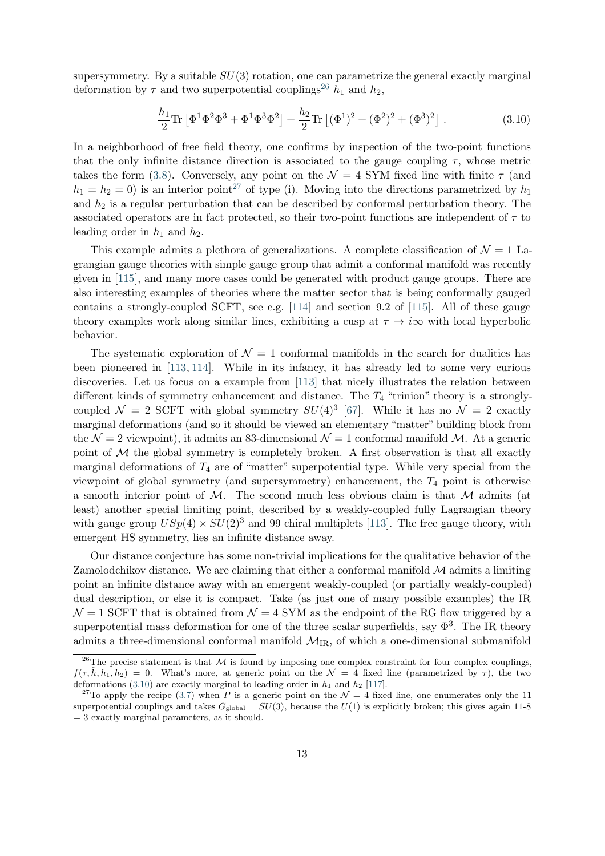supersymmetry. By a suitable  $SU(3)$  rotation, one can parametrize the general exactly marginal deformation by  $\tau$  and two superpotential couplings<sup>[26](#page-13-0)</sup>  $h_1$  and  $h_2$ ,

<span id="page-13-2"></span>
$$
\frac{h_1}{2}\text{Tr}\left[\Phi^1\Phi^2\Phi^3 + \Phi^1\Phi^3\Phi^2\right] + \frac{h_2}{2}\text{Tr}\left[(\Phi^1)^2 + (\Phi^2)^2 + (\Phi^3)^2\right].\tag{3.10}
$$

In a neighborhood of free field theory, one confirms by inspection of the two-point functions that the only infinite distance direction is associated to the gauge coupling  $\tau$ , whose metric takes the form [\(3.8\)](#page-12-2). Conversely, any point on the  $\mathcal{N} = 4$  SYM fixed line with finite  $\tau$  (and  $h_1 = h_2 = 0$ ) is an interior point<sup>[27](#page-13-1)</sup> of type (i). Moving into the directions parametrized by  $h_1$ and  $h_2$  is a regular perturbation that can be described by conformal perturbation theory. The associated operators are in fact protected, so their two-point functions are independent of  $\tau$  to leading order in  $h_1$  and  $h_2$ .

This example admits a plethora of generalizations. A complete classification of  $\mathcal{N} = 1$  Lagrangian gauge theories with simple gauge group that admit a conformal manifold was recently given in [\[115\]](#page-29-9), and many more cases could be generated with product gauge groups. There are also interesting examples of theories where the matter sector that is being conformally gauged contains a strongly-coupled SCFT, see e.g.  $[114]$  and section 9.2 of [\[115\]](#page-29-9). All of these gauge theory examples work along similar lines, exhibiting a cusp at  $\tau \to i\infty$  with local hyperbolic behavior.

The systematic exploration of  $\mathcal{N} = 1$  conformal manifolds in the search for dualities has been pioneered in [\[113,](#page-29-6) [114\]](#page-29-10). While in its infancy, it has already led to some very curious discoveries. Let us focus on a example from [\[113\]](#page-29-6) that nicely illustrates the relation between different kinds of symmetry enhancement and distance. The  $T_4$  "trinion" theory is a stronglycoupled  $\mathcal{N} = 2$  SCFT with global symmetry  $SU(4)^3$  [\[67\]](#page-26-7). While it has no  $\mathcal{N} = 2$  exactly marginal deformations (and so it should be viewed an elementary "matter" building block from the  $\mathcal{N} = 2$  viewpoint), it admits an 83-dimensional  $\mathcal{N} = 1$  conformal manifold M. At a generic point of  $M$  the global symmetry is completely broken. A first observation is that all exactly marginal deformations of  $T_4$  are of "matter" superpotential type. While very special from the viewpoint of global symmetry (and supersymmetry) enhancement, the  $T_4$  point is otherwise a smooth interior point of  $M$ . The second much less obvious claim is that  $M$  admits (at least) another special limiting point, described by a weakly-coupled fully Lagrangian theory with gauge group  $USp(4) \times SU(2)^3$  and 99 chiral multiplets [\[113\]](#page-29-6). The free gauge theory, with emergent HS symmetry, lies an infinite distance away.

Our distance conjecture has some non-trivial implications for the qualitative behavior of the Zamolodchikov distance. We are claiming that either a conformal manifold  $\mathcal M$  admits a limiting point an infinite distance away with an emergent weakly-coupled (or partially weakly-coupled) dual description, or else it is compact. Take (as just one of many possible examples) the IR  $\mathcal{N}=1$  SCFT that is obtained from  $\mathcal{N}=4$  SYM as the endpoint of the RG flow triggered by a superpotential mass deformation for one of the three scalar superfields, say  $\Phi^3$ . The IR theory admits a three-dimensional conformal manifold  $\mathcal{M}_{IR}$ , of which a one-dimensional submanifold

<span id="page-13-0"></span><sup>&</sup>lt;sup>26</sup>The precise statement is that  $M$  is found by imposing one complex constraint for four complex couplings,  $f(\tau, \tilde{h}, h_1, h_2) = 0$ . What's more, at generic point on the  $\mathcal{N} = 4$  fixed line (parametrized by  $\tau$ ), the two deformations [\(3.10\)](#page-13-2) are exactly marginal to leading order in  $h_1$  and  $h_2$  [\[117\]](#page-29-8).

<span id="page-13-1"></span><sup>&</sup>lt;sup>27</sup>To apply the recipe [\(3.7\)](#page-11-4) when P is a generic point on the  $\mathcal{N}=4$  fixed line, one enumerates only the 11 superpotential couplings and takes  $G_{\text{global}} = SU(3)$ , because the  $U(1)$  is explicitly broken; this gives again 11-8  $=$  3 exactly marginal parameters, as it should.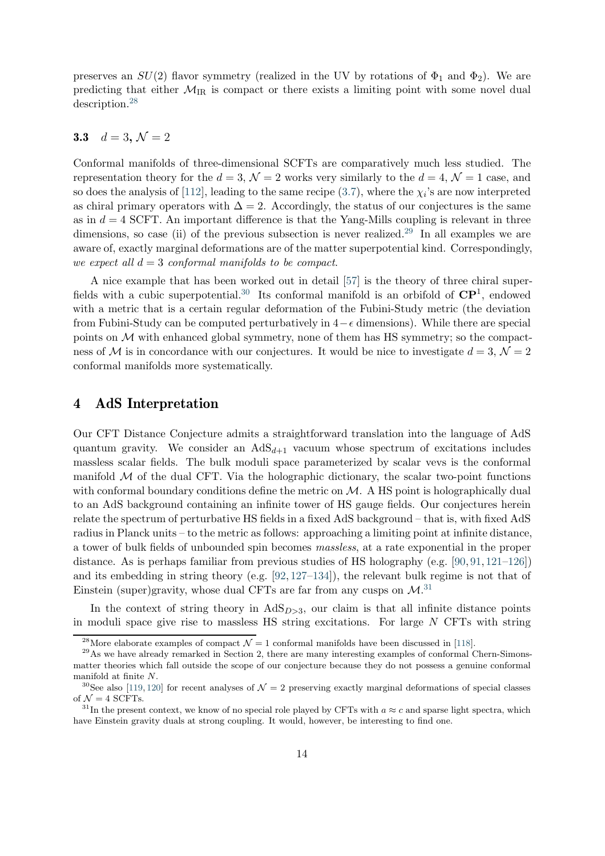preserves an  $SU(2)$  flavor symmetry (realized in the UV by rotations of  $\Phi_1$  and  $\Phi_2$ ). We are predicting that either  $\mathcal{M}_{IR}$  is compact or there exists a limiting point with some novel dual description.[28](#page-14-2)

#### <span id="page-14-0"></span>3.3  $d = 3, \mathcal{N} = 2$

Conformal manifolds of three-dimensional SCFTs are comparatively much less studied. The representation theory for the  $d = 3$ ,  $\mathcal{N} = 2$  works very similarly to the  $d = 4$ ,  $\mathcal{N} = 1$  case, and so does the analysis of [\[112\]](#page-29-5), leading to the same recipe  $(3.7)$ , where the  $\chi_i$ 's are now interpreted as chiral primary operators with  $\Delta = 2$ . Accordingly, the status of our conjectures is the same as in  $d = 4$  SCFT. An important difference is that the Yang-Mills coupling is relevant in three dimensions, so case (ii) of the previous subsection is never realized.<sup>[29](#page-14-3)</sup> In all examples we are aware of, exactly marginal deformations are of the matter superpotential kind. Correspondingly, we expect all  $d = 3$  conformal manifolds to be compact.

A nice example that has been worked out in detail [\[57\]](#page-26-13) is the theory of three chiral super-fields with a cubic superpotential.<sup>[30](#page-14-4)</sup> Its conformal manifold is an orbifold of  $\mathbb{CP}^1$ , endowed with a metric that is a certain regular deformation of the Fubini-Study metric (the deviation from Fubini-Study can be computed perturbatively in  $4-\epsilon$  dimensions). While there are special points on  $M$  with enhanced global symmetry, none of them has HS symmetry; so the compactness of M is in concordance with our conjectures. It would be nice to investigate  $d = 3$ ,  $\mathcal{N} = 2$ conformal manifolds more systematically.

# <span id="page-14-1"></span>4 AdS Interpretation

Our CFT Distance Conjecture admits a straightforward translation into the language of AdS quantum gravity. We consider an  $AdS_{d+1}$  vacuum whose spectrum of excitations includes massless scalar fields. The bulk moduli space parameterized by scalar vevs is the conformal manifold  $M$  of the dual CFT. Via the holographic dictionary, the scalar two-point functions with conformal boundary conditions define the metric on  $M$ . A HS point is holographically dual to an AdS background containing an infinite tower of HS gauge fields. Our conjectures herein relate the spectrum of perturbative HS fields in a fixed AdS background – that is, with fixed AdS radius in Planck units – to the metric as follows: approaching a limiting point at infinite distance, a tower of bulk fields of unbounded spin becomes massless, at a rate exponential in the proper distance. As is perhaps familiar from previous studies of HS holography (e.g. [\[90,](#page-28-15) [91,](#page-28-1) [121–](#page-29-11)[126\]](#page-30-0)) and its embedding in string theory (e.g. [\[92,](#page-28-0) [127–](#page-30-1)[134\]](#page-30-2)), the relevant bulk regime is not that of Einstein (super)gravity, whose dual CFTs are far from any cusps on  $\mathcal{M}^{.31}$  $\mathcal{M}^{.31}$  $\mathcal{M}^{.31}$ 

In the context of string theory in  $AdS_{D>3}$ , our claim is that all infinite distance points in moduli space give rise to massless  $\overline{HS}$  string excitations. For large N CFTs with string

<span id="page-14-2"></span><sup>&</sup>lt;sup>28</sup>More elaborate examples of compact  $\mathcal{N} = 1$  conformal manifolds have been discussed in [\[118\]](#page-29-12).

<span id="page-14-3"></span><sup>&</sup>lt;sup>29</sup>As we have already remarked in Section 2, there are many interesting examples of conformal Chern-Simonsmatter theories which fall outside the scope of our conjecture because they do not possess a genuine conformal manifold at finite N.

<span id="page-14-4"></span><sup>&</sup>lt;sup>30</sup>See also [\[119,](#page-29-13) [120\]](#page-29-14) for recent analyses of  $\mathcal{N}=2$  preserving exactly marginal deformations of special classes of  $\mathcal{N} = 4$  SCFTs.

<span id="page-14-5"></span><sup>&</sup>lt;sup>31</sup>In the present context, we know of no special role played by CFTs with  $a \approx c$  and sparse light spectra, which have Einstein gravity duals at strong coupling. It would, however, be interesting to find one.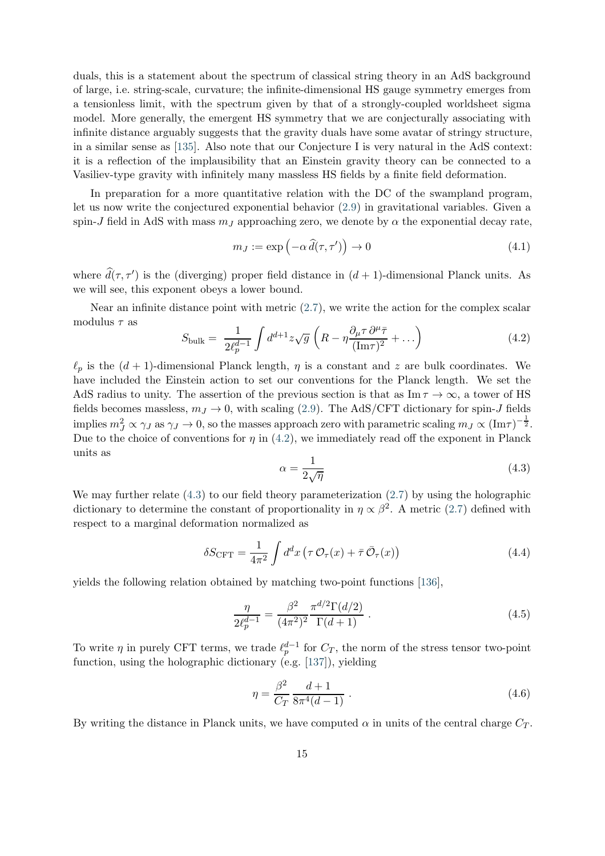duals, this is a statement about the spectrum of classical string theory in an AdS background of large, i.e. string-scale, curvature; the infinite-dimensional HS gauge symmetry emerges from a tensionless limit, with the spectrum given by that of a strongly-coupled worldsheet sigma model. More generally, the emergent HS symmetry that we are conjecturally associating with infinite distance arguably suggests that the gravity duals have some avatar of stringy structure, in a similar sense as [\[135\]](#page-30-3). Also note that our Conjecture I is very natural in the AdS context: it is a reflection of the implausibility that an Einstein gravity theory can be connected to a Vasiliev-type gravity with infinitely many massless HS fields by a finite field deformation.

In preparation for a more quantitative relation with the DC of the swampland program, let us now write the conjectured exponential behavior [\(2.9\)](#page-5-0) in gravitational variables. Given a spin-J field in AdS with mass  $m<sub>J</sub>$  approaching zero, we denote by  $\alpha$  the exponential decay rate,

$$
m_J := \exp\left(-\alpha \,\widehat{d}(\tau, \tau')\right) \to 0\tag{4.1}
$$

where  $d(\tau, \tau')$  is the (diverging) proper field distance in  $(d + 1)$ -dimensional Planck units. As we will see, this exponent obeys a lower bound.

Near an infinite distance point with metric [\(2.7\)](#page-5-1), we write the action for the complex scalar modulus  $\tau$  as

<span id="page-15-0"></span>
$$
S_{\text{bulk}} = \frac{1}{2\ell_p^{d-1}} \int d^{d+1}z \sqrt{g} \left( R - \eta \frac{\partial_\mu \tau}{(\text{Im}\tau)^2} + \dots \right) \tag{4.2}
$$

 $\ell_p$  is the  $(d+1)$ -dimensional Planck length,  $\eta$  is a constant and z are bulk coordinates. We have included the Einstein action to set our conventions for the Planck length. We set the AdS radius to unity. The assertion of the previous section is that as  $\text{Im}\,\tau \to \infty$ , a tower of HS fields becomes massless,  $m_J \to 0$ , with scaling [\(2.9\)](#page-5-0). The AdS/CFT dictionary for spin-J fields implies  $m_J^2 \propto \gamma_J$  as  $\gamma_J \to 0$ , so the masses approach zero with parametric scaling  $m_J \propto (\text{Im}\tau)^{-\frac{1}{2}}$ . Due to the choice of conventions for  $\eta$  in [\(4.2\)](#page-15-0), we immediately read off the exponent in Planck units as

<span id="page-15-1"></span>
$$
\alpha = \frac{1}{2\sqrt{\eta}}\tag{4.3}
$$

We may further relate  $(4.3)$  to our field theory parameterization  $(2.7)$  by using the holographic dictionary to determine the constant of proportionality in  $\eta \propto \beta^2$ . A metric [\(2.7\)](#page-5-1) defined with respect to a marginal deformation normalized as

$$
\delta S_{\text{CFT}} = \frac{1}{4\pi^2} \int d^d x \left( \tau \mathcal{O}_\tau(x) + \bar{\tau} \bar{\mathcal{O}}_\tau(x) \right) \tag{4.4}
$$

yields the following relation obtained by matching two-point functions [\[136\]](#page-30-4),

$$
\frac{\eta}{2\ell_p^{d-1}} = \frac{\beta^2}{(4\pi^2)^2} \frac{\pi^{d/2} \Gamma(d/2)}{\Gamma(d+1)} .
$$
\n(4.5)

To write  $\eta$  in purely CFT terms, we trade  $\ell_p^{d-1}$  for  $C_T$ , the norm of the stress tensor two-point function, using the holographic dictionary (e.g. [\[137\]](#page-30-5)), yielding

<span id="page-15-2"></span>
$$
\eta = \frac{\beta^2}{C_T} \frac{d+1}{8\pi^4(d-1)} \,. \tag{4.6}
$$

By writing the distance in Planck units, we have computed  $\alpha$  in units of the central charge  $C_T$ .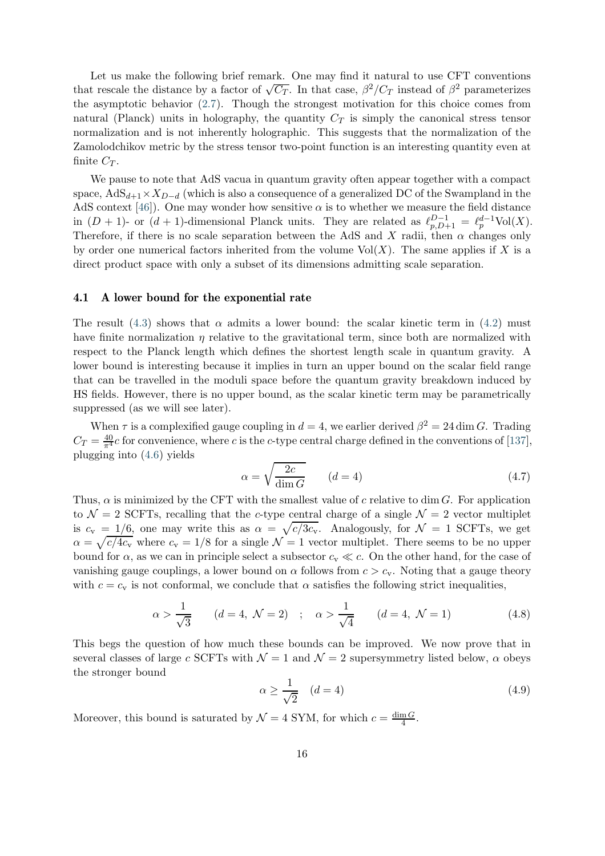Let us make the following brief remark. One may find it natural to use CFT conventions that rescale the distance by a factor of  $\sqrt{C_T}$ . In that case,  $\beta^2/C_T$  instead of  $\beta^2$  parameterizes the asymptotic behavior [\(2.7\)](#page-5-1). Though the strongest motivation for this choice comes from natural (Planck) units in holography, the quantity  $C_T$  is simply the canonical stress tensor normalization and is not inherently holographic. This suggests that the normalization of the Zamolodchikov metric by the stress tensor two-point function is an interesting quantity even at finite  $C_T$ .

We pause to note that AdS vacua in quantum gravity often appear together with a compact space,  $AdS_{d+1} \times X_{D-d}$  (which is also a consequence of a generalized DC of the Swampland in the AdS context [\[46\]](#page-25-8)). One may wonder how sensitive  $\alpha$  is to whether we measure the field distance in  $(D+1)$ - or  $(d+1)$ -dimensional Planck units. They are related as  $\ell_{p,D+1}^{D-1} = \ell_p^{d-1} \text{Vol}(X)$ . Therefore, if there is no scale separation between the AdS and X radii, then  $\alpha$  changes only by order one numerical factors inherited from the volume  $Vol(X)$ . The same applies if X is a direct product space with only a subset of its dimensions admitting scale separation.

#### <span id="page-16-0"></span>4.1 A lower bound for the exponential rate

The result [\(4.3\)](#page-15-1) shows that  $\alpha$  admits a lower bound: the scalar kinetic term in [\(4.2\)](#page-15-0) must have finite normalization  $\eta$  relative to the gravitational term, since both are normalized with respect to the Planck length which defines the shortest length scale in quantum gravity. A lower bound is interesting because it implies in turn an upper bound on the scalar field range that can be travelled in the moduli space before the quantum gravity breakdown induced by HS fields. However, there is no upper bound, as the scalar kinetic term may be parametrically suppressed (as we will see later).

When  $\tau$  is a complexified gauge coupling in  $d = 4$ , we earlier derived  $\beta^2 = 24 \dim G$ . Trading  $C_T = \frac{40}{\pi^4}c$  for convenience, where c is the c-type central charge defined in the conventions of [\[137\]](#page-30-5), plugging into [\(4.6\)](#page-15-2) yields

<span id="page-16-1"></span>
$$
\alpha = \sqrt{\frac{2c}{\dim G}} \qquad (d = 4)
$$
\n(4.7)

Thus,  $\alpha$  is minimized by the CFT with the smallest value of c relative to dim G. For application to  $\mathcal{N} = 2$  SCFTs, recalling that the c-type central charge of a single  $\mathcal{N} = 2$  vector multiplet is  $c_v = 1/6$ , one may write this as  $\alpha = \sqrt{c/3c_v}$ . Analogously, for  $\mathcal{N} = 1$  SCFTs, we get  $\alpha = \sqrt{c/4c_v}$  where  $c_v = 1/8$  for a single  $\mathcal{N} = 1$  vector multiplet. There seems to be no upper bound for  $\alpha$ , as we can in principle select a subsector  $c_v \ll c$ . On the other hand, for the case of vanishing gauge couplings, a lower bound on  $\alpha$  follows from  $c > c<sub>v</sub>$ . Noting that a gauge theory with  $c = c_v$  is not conformal, we conclude that  $\alpha$  satisfies the following strict inequalities,

$$
\alpha > \frac{1}{\sqrt{3}}
$$
  $(d = 4, \mathcal{N} = 2)$ ;  $\alpha > \frac{1}{\sqrt{4}}$   $(d = 4, \mathcal{N} = 1)$  (4.8)

This begs the question of how much these bounds can be improved. We now prove that in several classes of large c SCFTs with  $\mathcal{N} = 1$  and  $\mathcal{N} = 2$  supersymmetry listed below,  $\alpha$  obeys the stronger bound

<span id="page-16-2"></span>
$$
\alpha \ge \frac{1}{\sqrt{2}} \quad (d=4)
$$
\n<sup>(4.9)</sup>

Moreover, this bound is saturated by  $\mathcal{N} = 4$  SYM, for which  $c = \frac{\dim G}{4}$ .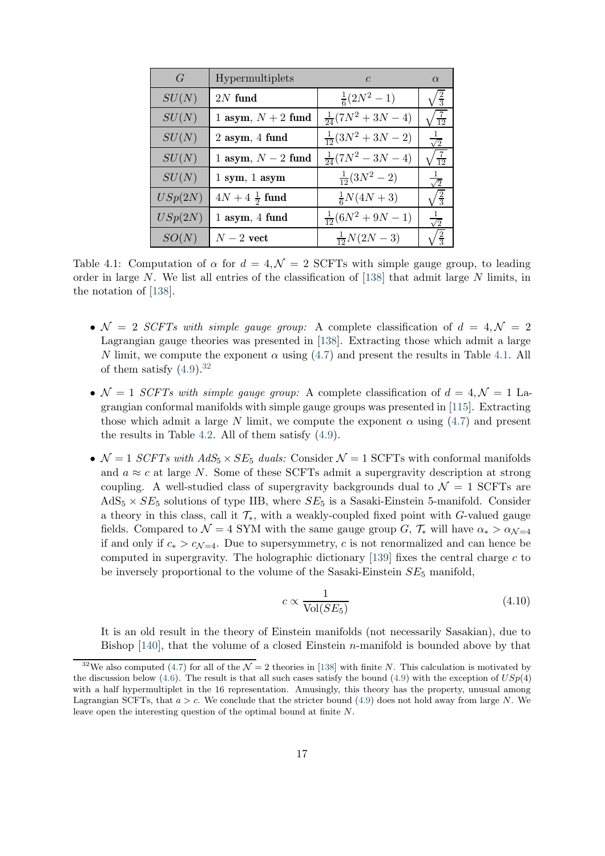<span id="page-17-0"></span>

| G       | Hypermultiplets          | $\mathcal{C}$             | $\alpha$        |
|---------|--------------------------|---------------------------|-----------------|
| SU(N)   | $2N$ fund                | $\frac{1}{6}(2N^2-1)$     | $\frac{2}{3}$   |
| SU(N)   | 1 asym, $N + 2$ fund     | $\frac{1}{24}(7N^2+3N-4)$ | $\overline{12}$ |
| SU(N)   | $2$ asym, $4$ fund       | $\frac{1}{12}(3N^2+3N-2)$ | $\sqrt{2}$      |
| SU(N)   | 1 asym, $N-2$ fund       | $\frac{1}{24}(7N^2-3N-4)$ | 19              |
| SU(N)   | $1$ sym, $1$ asym        | $\frac{1}{12}(3N^2-2)$    |                 |
| USp(2N) | $4N + 4\frac{1}{2}$ fund | $\frac{1}{6}N(4N+3)$      |                 |
| USp(2N) | 1 asym, 4 fund           | $\frac{1}{12}(6N^2+9N-1)$ | $\sqrt{2}$      |
| SO(N)   | $N-2$ vect               | $\frac{1}{12}N(2N-3)$     |                 |

Table 4.1: Computation of  $\alpha$  for  $d = 4, \mathcal{N} = 2$  SCFTs with simple gauge group, to leading order in large N. We list all entries of the classification of [\[138\]](#page-30-6) that admit large N limits, in the notation of [\[138\]](#page-30-6).

- $\mathcal{N} = 2$  SCFTs with simple gauge group: A complete classification of  $d = 4, \mathcal{N} = 2$ Lagrangian gauge theories was presented in [\[138\]](#page-30-6). Extracting those which admit a large N limit, we compute the exponent  $\alpha$  using [\(4.7\)](#page-16-1) and present the results in Table [4.1.](#page-17-0) All of them satisfy  $(4.9).^{32}$  $(4.9).^{32}$  $(4.9).^{32}$
- $\mathcal{N} = 1$  SCFTs with simple gauge group: A complete classification of  $d = 4, \mathcal{N} = 1$  Lagrangian conformal manifolds with simple gauge groups was presented in [\[115\]](#page-29-9). Extracting those which admit a large N limit, we compute the exponent  $\alpha$  using [\(4.7\)](#page-16-1) and present the results in Table [4.2.](#page-18-0) All of them satisfy [\(4.9\)](#page-16-2).
- $\mathcal{N} = 1$  SCFTs with  $AdS_5 \times SE_5$  duals: Consider  $\mathcal{N} = 1$  SCFTs with conformal manifolds and  $a \approx c$  at large N. Some of these SCFTs admit a supergravity description at strong coupling. A well-studied class of supergravity backgrounds dual to  $\mathcal{N} = 1$  SCFTs are  $AdS_5 \times SE_5$  solutions of type IIB, where  $SE_5$  is a Sasaki-Einstein 5-manifold. Consider a theory in this class, call it  $\mathcal{T}_{*}$ , with a weakly-coupled fixed point with G-valued gauge fields. Compared to  $\mathcal{N} = 4$  SYM with the same gauge group G,  $\mathcal{T}_{*}$  will have  $\alpha_{*} > \alpha_{\mathcal{N}=4}$ if and only if  $c_* > c_{\mathcal{N}=4}$ . Due to supersymmetry, c is not renormalized and can hence be computed in supergravity. The holographic dictionary [\[139\]](#page-31-0) fixes the central charge  $c$  to be inversely proportional to the volume of the Sasaki-Einstein  $SE_5$  manifold,

<span id="page-17-2"></span>
$$
c \propto \frac{1}{\text{Vol}(SE_5)}\tag{4.10}
$$

It is an old result in the theory of Einstein manifolds (not necessarily Sasakian), due to Bishop  $[140]$ , that the volume of a closed Einstein *n*-manifold is bounded above by that

<span id="page-17-1"></span><sup>&</sup>lt;sup>32</sup>We also computed [\(4.7\)](#page-16-1) for all of the  $\mathcal{N} = 2$  theories in [\[138\]](#page-30-6) with finite N. This calculation is motivated by the discussion below [\(4.6\)](#page-15-2). The result is that all such cases satisfy the bound [\(4.9\)](#page-16-2) with the exception of  $USp(4)$ with a half hypermultiplet in the 16 representation. Amusingly, this theory has the property, unusual among Lagrangian SCFTs, that  $a > c$ . We conclude that the stricter bound [\(4.9\)](#page-16-2) does not hold away from large N. We leave open the interesting question of the optimal bound at finite N.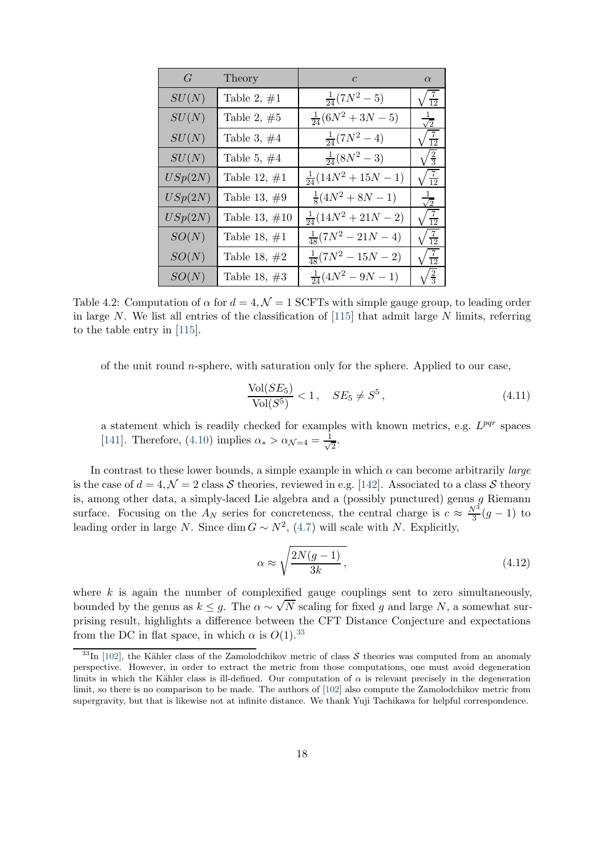<span id="page-18-0"></span>

| $G_{-}$ | Theory          | $c \qquad \qquad$           | $\alpha$              |
|---------|-----------------|-----------------------------|-----------------------|
| SU(N)   | Table 2, $\#1$  | $\frac{1}{24}(7N^2-5)$      | $\sqrt{\frac{7}{12}}$ |
| SU(N)   | Table 2, $#5$   | $\frac{1}{24}(6N^2+3N-5)$   | $\frac{1}{\sqrt{2}}$  |
| SU(N)   | Table 3, $#4$   | $\frac{1}{24}(7N^2-4)$      | $\sqrt{\frac{7}{12}}$ |
| SU(N)   | Table 5, $#4$   | $\frac{1}{24}(8N^2-3)$      | $\sqrt{\frac{2}{3}}$  |
| USp(2N) | Table 12, $\#1$ | $\frac{1}{24}(14N^2+15N-1)$ | $\sqrt{\frac{7}{12}}$ |
| USp(2N) | Table 13, $#9$  | $\frac{1}{8}(4N^2+8N-1)$    | $\frac{1}{\sqrt{2}}$  |
| USp(2N) | Table 13, $#10$ | $\frac{1}{24}(14N^2+21N-2)$ | $\sqrt{\frac{7}{12}}$ |
| SO(N)   | Table 18, $\#1$ | $\frac{1}{48}(7N^2-21N-4)$  | $\sqrt{\frac{7}{12}}$ |
| SO(N)   | Table 18, $#2$  | $\frac{1}{48}(7N^2-15N-2)$  | $\frac{7}{12}$        |
| SO(N)   | Table 18, $#3$  | $\frac{1}{24}(4N^2-9N-1)$   | $\sqrt{\frac{2}{3}}$  |

Table 4.2: Computation of  $\alpha$  for  $d = 4, \mathcal{N} = 1$  SCFTs with simple gauge group, to leading order in large N. We list all entries of the classification of  $[115]$  that admit large N limits, referring to the table entry in [\[115\]](#page-29-9).

of the unit round  $n$ -sphere, with saturation only for the sphere. Applied to our case,

$$
\frac{\text{Vol}(SE_5)}{\text{Vol}(S^5)} < 1, \quad SE_5 \neq S^5 \,,\tag{4.11}
$$

a statement which is readily checked for examples with known metrics, e.g.  $L^{pqr}$  spaces [\[141\]](#page-31-2). Therefore, [\(4.10\)](#page-17-2) implies  $\alpha_* > \alpha_{\mathcal{N}=4} = \frac{1}{\sqrt{2\pi}}$  $\overline{2}$ .

In contrast to these lower bounds, a simple example in which  $\alpha$  can become arbitrarily *large* is the case of  $d = 4, \mathcal{N} = 2$  class S theories, reviewed in e.g. [\[142\]](#page-31-3). Associated to a class S theory is, among other data, a simply-laced Lie algebra and a (possibly punctured) genus  $g$  Riemann surface. Focusing on the  $A_N$  series for concreteness, the central charge is  $c \approx \frac{N^3}{3}(g-1)$  to leading order in large N. Since dim  $G \sim N^2$ , [\(4.7\)](#page-16-1) will scale with N. Explicitly,

$$
\alpha \approx \sqrt{\frac{2N(g-1)}{3k}},\tag{4.12}
$$

where  $k$  is again the number of complexified gauge couplings sent to zero simultaneously, bounded by the genus as  $k \leq g$ . The  $\alpha \sim \sqrt{N}$  scaling for fixed g and large N, a somewhat surprising result, highlights a difference between the CFT Distance Conjecture and expectations from the DC in flat space, in which  $\alpha$  is  $O(1).^{33}$  $O(1).^{33}$  $O(1).^{33}$ 

<span id="page-18-1"></span><sup>&</sup>lt;sup>33</sup>In [\[102\]](#page-28-10), the Kähler class of the Zamolodchikov metric of class  $S$  theories was computed from an anomaly perspective. However, in order to extract the metric from those computations, one must avoid degeneration limits in which the Kähler class is ill-defined. Our computation of  $\alpha$  is relevant precisely in the degeneration limit, so there is no comparison to be made. The authors of [\[102\]](#page-28-10) also compute the Zamolodchikov metric from supergravity, but that is likewise not at infinite distance. We thank Yuji Tachikawa for helpful correspondence.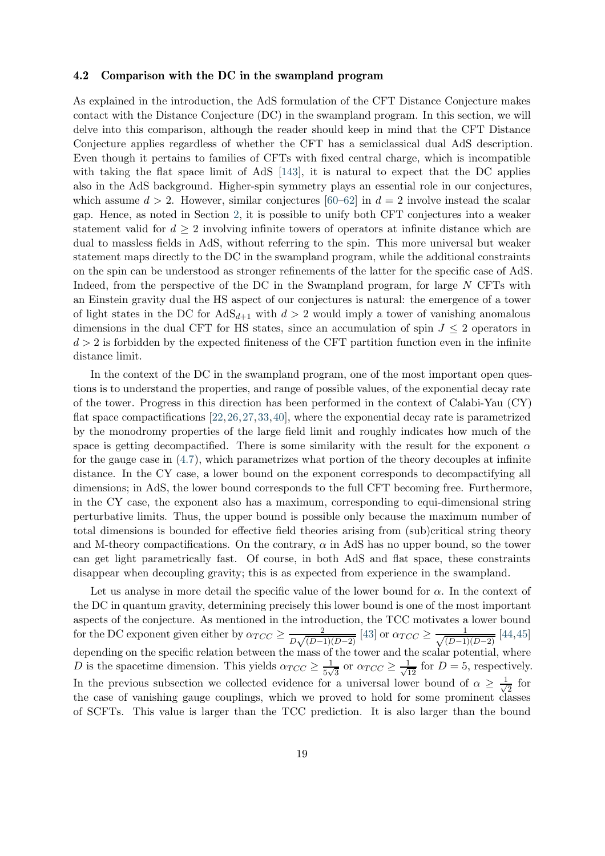#### <span id="page-19-0"></span>4.2 Comparison with the DC in the swampland program

As explained in the introduction, the AdS formulation of the CFT Distance Conjecture makes contact with the Distance Conjecture (DC) in the swampland program. In this section, we will delve into this comparison, although the reader should keep in mind that the CFT Distance Conjecture applies regardless of whether the CFT has a semiclassical dual AdS description. Even though it pertains to families of CFTs with fixed central charge, which is incompatible with taking the flat space limit of AdS [\[143\]](#page-31-4), it is natural to expect that the DC applies also in the AdS background. Higher-spin symmetry plays an essential role in our conjectures, which assume  $d > 2$ . However, similar conjectures [\[60–](#page-26-2)[62\]](#page-26-11) in  $d = 2$  involve instead the scalar gap. Hence, as noted in Section [2,](#page-3-0) it is possible to unify both CFT conjectures into a weaker statement valid for  $d > 2$  involving infinite towers of operators at infinite distance which are dual to massless fields in AdS, without referring to the spin. This more universal but weaker statement maps directly to the DC in the swampland program, while the additional constraints on the spin can be understood as stronger refinements of the latter for the specific case of AdS. Indeed, from the perspective of the DC in the Swampland program, for large N CFTs with an Einstein gravity dual the HS aspect of our conjectures is natural: the emergence of a tower of light states in the DC for  $AdS_{d+1}$  with  $d > 2$  would imply a tower of vanishing anomalous dimensions in the dual CFT for HS states, since an accumulation of spin  $J \leq 2$  operators in  $d > 2$  is forbidden by the expected finiteness of the CFT partition function even in the infinite distance limit.

In the context of the DC in the swampland program, one of the most important open questions is to understand the properties, and range of possible values, of the exponential decay rate of the tower. Progress in this direction has been performed in the context of Calabi-Yau (CY) flat space compactifications [\[22,](#page-24-0)[26,](#page-24-1)[27,](#page-24-2)[33,](#page-24-3)[40\]](#page-25-3), where the exponential decay rate is parametrized by the monodromy properties of the large field limit and roughly indicates how much of the space is getting decompactified. There is some similarity with the result for the exponent  $\alpha$ for the gauge case in [\(4.7\)](#page-16-1), which parametrizes what portion of the theory decouples at infinite distance. In the CY case, a lower bound on the exponent corresponds to decompactifying all dimensions; in AdS, the lower bound corresponds to the full CFT becoming free. Furthermore, in the CY case, the exponent also has a maximum, corresponding to equi-dimensional string perturbative limits. Thus, the upper bound is possible only because the maximum number of total dimensions is bounded for effective field theories arising from (sub)critical string theory and M-theory compactifications. On the contrary,  $\alpha$  in AdS has no upper bound, so the tower can get light parametrically fast. Of course, in both AdS and flat space, these constraints disappear when decoupling gravity; this is as expected from experience in the swampland.

Let us analyse in more detail the specific value of the lower bound for  $\alpha$ . In the context of the DC in quantum gravity, determining precisely this lower bound is one of the most important aspects of the conjecture. As mentioned in the introduction, the TCC motivates a lower bound for the DC exponent given either by  $\alpha_{TCC} \geq \frac{2}{D\sqrt{(D-1)}}$  $\frac{2}{D\sqrt{(D-1)(D-2)}}$  [\[43\]](#page-25-1) or  $\alpha_{TCC} \ge \frac{1}{\sqrt{(D-1)}}$  $\frac{1}{(D-1)(D-2)}$  [\[44,](#page-25-10)[45\]](#page-25-2) depending on the specific relation between the mass of the tower and the scalar potential, where D is the spacetime dimension. This yields  $\alpha_{TCC} \geq \frac{1}{5\sqrt{2}}$  $\frac{1}{5\sqrt{3}}$  or  $\alpha_{TCC} \ge \frac{1}{\sqrt{12}}$  for  $D = 5$ , respectively. In the previous subsection we collected evidence for a universal lower bound of  $\alpha \geq \frac{1}{\sqrt{2}}$  $\frac{1}{2}$  for the case of vanishing gauge couplings, which we proved to hold for some prominent classes of SCFTs. This value is larger than the TCC prediction. It is also larger than the bound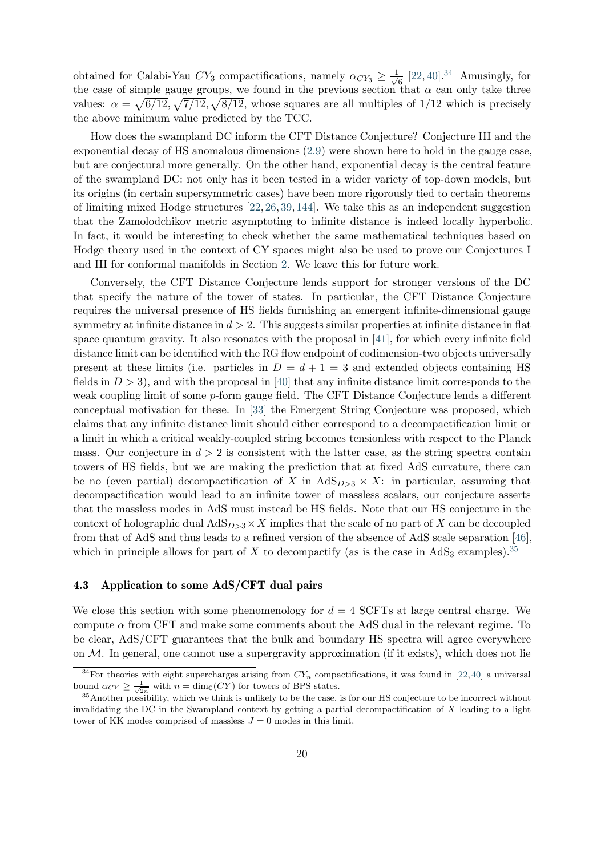obtained for Calabi-Yau  $CY_3$  compactifications, namely  $\alpha_{CY_3} \geq \frac{1}{\sqrt{3}}$  $\frac{1}{6}$  [\[22,](#page-24-0) [40\]](#page-25-3).<sup>[34](#page-20-1)</sup> Amusingly, for the case of simple gauge groups, we found in the previous section that  $\alpha$  can only take three values:  $\alpha = \sqrt{6/12}, \sqrt{7/12}, \sqrt{8/12}$ , whose squares are all multiples of 1/12 which is precisely the above minimum value predicted by the TCC.

How does the swampland DC inform the CFT Distance Conjecture? Conjecture III and the exponential decay of HS anomalous dimensions [\(2.9\)](#page-5-0) were shown here to hold in the gauge case, but are conjectural more generally. On the other hand, exponential decay is the central feature of the swampland DC: not only has it been tested in a wider variety of top-down models, but its origins (in certain supersymmetric cases) have been more rigorously tied to certain theorems of limiting mixed Hodge structures [\[22,](#page-24-0) [26,](#page-24-1) [39,](#page-25-11) [144\]](#page-31-5). We take this as an independent suggestion that the Zamolodchikov metric asymptoting to infinite distance is indeed locally hyperbolic. In fact, it would be interesting to check whether the same mathematical techniques based on Hodge theory used in the context of CY spaces might also be used to prove our Conjectures I and III for conformal manifolds in Section [2.](#page-3-0) We leave this for future work.

Conversely, the CFT Distance Conjecture lends support for stronger versions of the DC that specify the nature of the tower of states. In particular, the CFT Distance Conjecture requires the universal presence of HS fields furnishing an emergent infinite-dimensional gauge symmetry at infinite distance in  $d > 2$ . This suggests similar properties at infinite distance in flat space quantum gravity. It also resonates with the proposal in [\[41\]](#page-25-12), for which every infinite field distance limit can be identified with the RG flow endpoint of codimension-two objects universally present at these limits (i.e. particles in  $D = d + 1 = 3$  and extended objects containing HS fields in  $D > 3$ , and with the proposal in [\[40\]](#page-25-3) that any infinite distance limit corresponds to the weak coupling limit of some p-form gauge field. The CFT Distance Conjecture lends a different conceptual motivation for these. In [\[33\]](#page-24-3) the Emergent String Conjecture was proposed, which claims that any infinite distance limit should either correspond to a decompactification limit or a limit in which a critical weakly-coupled string becomes tensionless with respect to the Planck mass. Our conjecture in  $d > 2$  is consistent with the latter case, as the string spectra contain towers of HS fields, but we are making the prediction that at fixed AdS curvature, there can be no (even partial) decompactification of X in  $AdS_{D>3} \times X$ : in particular, assuming that decompactification would lead to an infinite tower of massless scalars, our conjecture asserts that the massless modes in AdS must instead be HS fields. Note that our HS conjecture in the context of holographic dual  $AdS_{D>3}\times X$  implies that the scale of no part of X can be decoupled from that of AdS and thus leads to a refined version of the absence of AdS scale separation [\[46\]](#page-25-8), which in principle allows for part of X to decompactify (as is the case in  $AdS_3$  examples).<sup>[35](#page-20-2)</sup>

## <span id="page-20-0"></span>4.3 Application to some AdS/CFT dual pairs

We close this section with some phenomenology for  $d = 4$  SCFTs at large central charge. We compute  $\alpha$  from CFT and make some comments about the AdS dual in the relevant regime. To be clear, AdS/CFT guarantees that the bulk and boundary HS spectra will agree everywhere on  $M$ . In general, one cannot use a supergravity approximation (if it exists), which does not lie

<span id="page-20-1"></span><sup>&</sup>lt;sup>34</sup>For theories with eight supercharges arising from  $CY_n$  compactifications, it was found in [\[22,](#page-24-0)[40\]](#page-25-3) a universal bound  $\alpha_{CY} \geq \frac{1}{\sqrt{2n}}$  with  $n = \dim_{\mathbb{C}}(CY)$  for towers of BPS states.

<span id="page-20-2"></span><sup>&</sup>lt;sup>35</sup>Another possibility, which we think is unlikely to be the case, is for our HS conjecture to be incorrect without invalidating the DC in the Swampland context by getting a partial decompactification of  $X$  leading to a light tower of KK modes comprised of massless  $J = 0$  modes in this limit.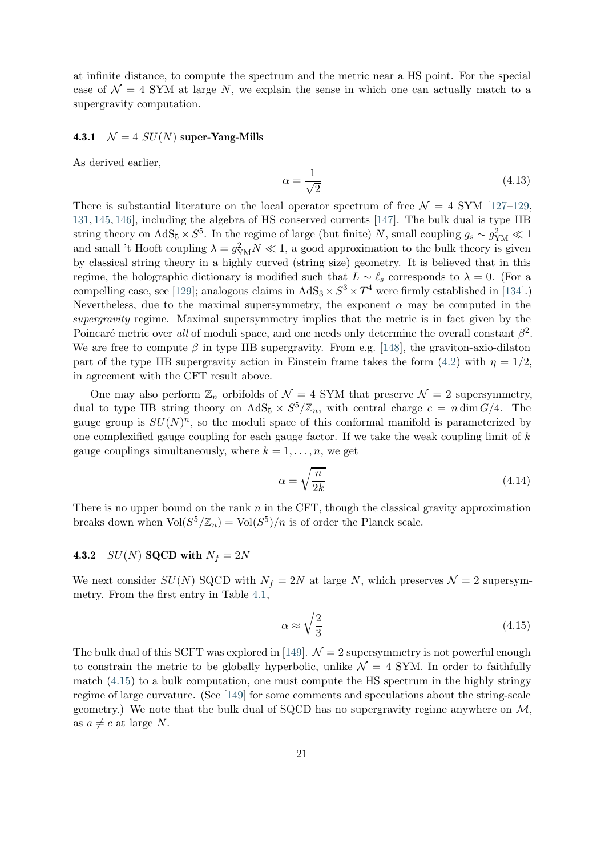at infinite distance, to compute the spectrum and the metric near a HS point. For the special case of  $\mathcal{N} = 4$  SYM at large N, we explain the sense in which one can actually match to a supergravity computation.

#### 4.3.1  $\mathcal{N} = 4 \text{ } SU(N)$  super-Yang-Mills

As derived earlier,

$$
\alpha = \frac{1}{\sqrt{2}}\tag{4.13}
$$

There is substantial literature on the local operator spectrum of free  $\mathcal{N} = 4$  SYM [\[127–](#page-30-1)[129,](#page-30-7) [131,](#page-30-8) [145,](#page-31-6) [146\]](#page-31-7), including the algebra of HS conserved currents [\[147\]](#page-31-8). The bulk dual is type IIB string theory on  $AdS_5 \times S^5$ . In the regime of large (but finite) N, small coupling  $g_s \sim g_{\text{YM}}^2 \ll 1$ and small 't Hooft coupling  $\lambda = g_{YM}^2 N \ll 1$ , a good approximation to the bulk theory is given by classical string theory in a highly curved (string size) geometry. It is believed that in this regime, the holographic dictionary is modified such that  $L \sim \ell_s$  corresponds to  $\lambda = 0$ . (For a compelling case, see [\[129\]](#page-30-7); analogous claims in  $AdS_3 \times S^3 \times T^4$  were firmly established in [\[134\]](#page-30-2).) Nevertheless, due to the maximal supersymmetry, the exponent  $\alpha$  may be computed in the supergravity regime. Maximal supersymmetry implies that the metric is in fact given by the Poincaré metric over all of moduli space, and one needs only determine the overall constant  $\beta^2$ . We are free to compute  $\beta$  in type IIB supergravity. From e.g. [\[148\]](#page-31-9), the graviton-axio-dilaton part of the type IIB supergravity action in Einstein frame takes the form  $(4.2)$  with  $\eta = 1/2$ , in agreement with the CFT result above.

One may also perform  $\mathbb{Z}_n$  orbifolds of  $\mathcal{N}=4$  SYM that preserve  $\mathcal{N}=2$  supersymmetry, dual to type IIB string theory on  $AdS_5 \times S^5/\mathbb{Z}_n$ , with central charge  $c = n \dim G/4$ . The gauge group is  $SU(N)^n$ , so the moduli space of this conformal manifold is parameterized by one complexified gauge coupling for each gauge factor. If we take the weak coupling limit of  $k$ gauge couplings simultaneously, where  $k = 1, \ldots, n$ , we get

$$
\alpha = \sqrt{\frac{n}{2k}}\tag{4.14}
$$

There is no upper bound on the rank  $n$  in the CFT, though the classical gravity approximation breaks down when  $\text{Vol}(S^5/\mathbb{Z}_n) = \text{Vol}(S^5)/n$  is of order the Planck scale.

## 4.3.2  $SU(N)$  SQCD with  $N_f = 2N$

We next consider  $SU(N)$  SQCD with  $N_f = 2N$  at large N, which preserves  $\mathcal{N} = 2$  supersymmetry. From the first entry in Table [4.1,](#page-17-0)

<span id="page-21-0"></span>
$$
\alpha \approx \sqrt{\frac{2}{3}}\tag{4.15}
$$

The bulk dual of this SCFT was explored in [\[149\]](#page-31-10).  $\mathcal{N}=2$  supersymmetry is not powerful enough to constrain the metric to be globally hyperbolic, unlike  $\mathcal{N} = 4$  SYM. In order to faithfully match  $(4.15)$  to a bulk computation, one must compute the HS spectrum in the highly stringy regime of large curvature. (See [\[149\]](#page-31-10) for some comments and speculations about the string-scale geometry.) We note that the bulk dual of SQCD has no supergravity regime anywhere on  $M$ , as  $a \neq c$  at large N.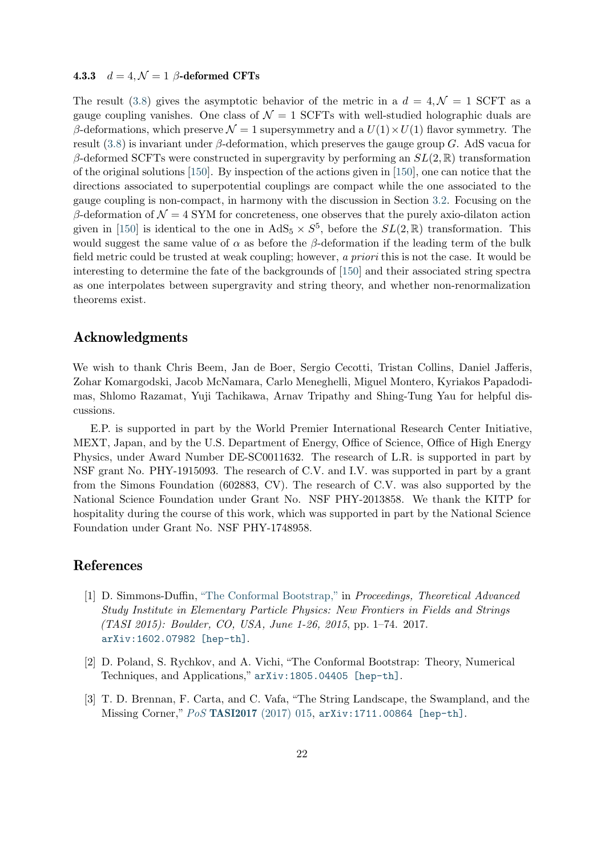#### 4.3.3  $d = 4, \mathcal{N} = 1$  β-deformed CFTs

The result [\(3.8\)](#page-12-2) gives the asymptotic behavior of the metric in a  $d = 4, \mathcal{N} = 1$  SCFT as a gauge coupling vanishes. One class of  $\mathcal{N} = 1$  SCFTs with well-studied holographic duals are β-deformations, which preserve  $\mathcal{N} = 1$  supersymmetry and a  $U(1) \times U(1)$  flavor symmetry. The result  $(3.8)$  is invariant under  $\beta$ -deformation, which preserves the gauge group G. AdS vacua for β-deformed SCFTs were constructed in supergravity by performing an  $SL(2, \mathbb{R})$  transformation of the original solutions [\[150\]](#page-31-11). By inspection of the actions given in [\[150\]](#page-31-11), one can notice that the directions associated to superpotential couplings are compact while the one associated to the gauge coupling is non-compact, in harmony with the discussion in Section [3.2.](#page-11-0) Focusing on the β-deformation of  $\mathcal{N} = 4$  SYM for concreteness, one observes that the purely axio-dilaton action given in [\[150\]](#page-31-11) is identical to the one in  $AdS_5 \times S^5$ , before the  $SL(2,\mathbb{R})$  transformation. This would suggest the same value of  $\alpha$  as before the  $\beta$ -deformation if the leading term of the bulk field metric could be trusted at weak coupling; however, a priori this is not the case. It would be interesting to determine the fate of the backgrounds of [\[150\]](#page-31-11) and their associated string spectra as one interpolates between supergravity and string theory, and whether non-renormalization theorems exist.

## Acknowledgments

We wish to thank Chris Beem, Jan de Boer, Sergio Cecotti, Tristan Collins, Daniel Jafferis, Zohar Komargodski, Jacob McNamara, Carlo Meneghelli, Miguel Montero, Kyriakos Papadodimas, Shlomo Razamat, Yuji Tachikawa, Arnav Tripathy and Shing-Tung Yau for helpful discussions.

E.P. is supported in part by the World Premier International Research Center Initiative, MEXT, Japan, and by the U.S. Department of Energy, Office of Science, Office of High Energy Physics, under Award Number DE-SC0011632. The research of L.R. is supported in part by NSF grant No. PHY-1915093. The research of C.V. and I.V. was supported in part by a grant from the Simons Foundation (602883, CV). The research of C.V. was also supported by the National Science Foundation under Grant No. NSF PHY-2013858. We thank the KITP for hospitality during the course of this work, which was supported in part by the National Science Foundation under Grant No. NSF PHY-1748958.

# <span id="page-22-0"></span>References

- [1] D. Simmons-Duffin, ["The Conformal Bootstrap,"](http://dx.doi.org/10.1142/9789813149441_0001) in Proceedings, Theoretical Advanced Study Institute in Elementary Particle Physics: New Frontiers in Fields and Strings (TASI 2015): Boulder, CO, USA, June 1-26, 2015, pp. 1–74. 2017. [arXiv:1602.07982 \[hep-th\]](http://arxiv.org/abs/1602.07982).
- <span id="page-22-1"></span>[2] D. Poland, S. Rychkov, and A. Vichi, "The Conformal Bootstrap: Theory, Numerical Techniques, and Applications," [arXiv:1805.04405 \[hep-th\]](http://arxiv.org/abs/1805.04405).
- <span id="page-22-2"></span>[3] T. D. Brennan, F. Carta, and C. Vafa, "The String Landscape, the Swampland, and the Missing Corner," PoS TASI2017 [\(2017\) 015,](http://dx.doi.org/10.22323/1.305.0015) [arXiv:1711.00864 \[hep-th\]](http://arxiv.org/abs/1711.00864).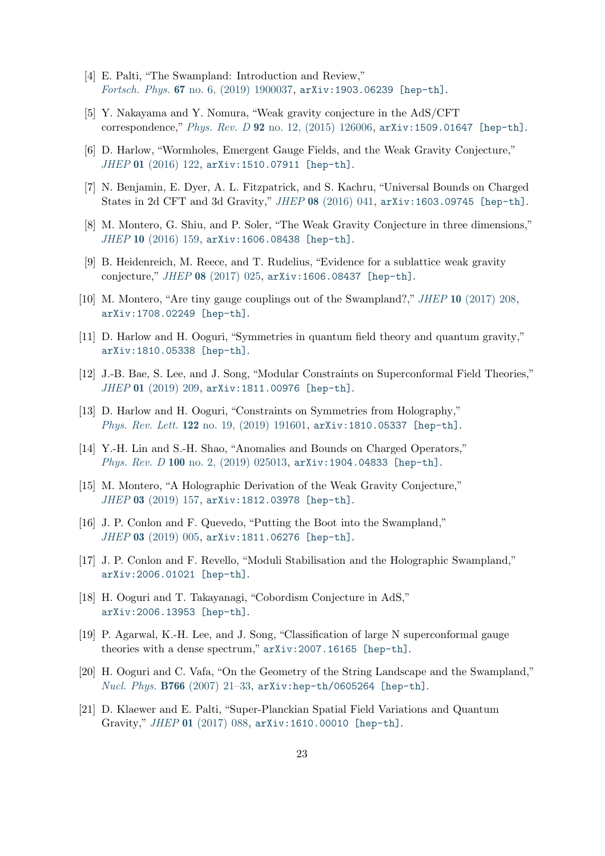- <span id="page-23-2"></span><span id="page-23-0"></span>[4] E. Palti, "The Swampland: Introduction and Review," Fortsch. Phys. 67 [no. 6, \(2019\) 1900037,](http://dx.doi.org/10.1002/prop.201900037) [arXiv:1903.06239 \[hep-th\]](http://arxiv.org/abs/1903.06239).
- [5] Y. Nakayama and Y. Nomura, "Weak gravity conjecture in the AdS/CFT correspondence," Phys. Rev. D 92 [no. 12, \(2015\) 126006,](http://dx.doi.org/10.1103/PhysRevD.92.126006) [arXiv:1509.01647 \[hep-th\]](http://arxiv.org/abs/1509.01647).
- [6] D. Harlow, "Wormholes, Emergent Gauge Fields, and the Weak Gravity Conjecture," JHEP 01 [\(2016\) 122,](http://dx.doi.org/10.1007/JHEP01(2016)122) [arXiv:1510.07911 \[hep-th\]](http://arxiv.org/abs/1510.07911).
- [7] N. Benjamin, E. Dyer, A. L. Fitzpatrick, and S. Kachru, "Universal Bounds on Charged States in 2d CFT and 3d Gravity," JHEP 08 [\(2016\) 041,](http://dx.doi.org/10.1007/JHEP08(2016)041) [arXiv:1603.09745 \[hep-th\]](http://arxiv.org/abs/1603.09745).
- [8] M. Montero, G. Shiu, and P. Soler, "The Weak Gravity Conjecture in three dimensions," JHEP 10 [\(2016\) 159,](http://dx.doi.org/10.1007/JHEP10(2016)159) [arXiv:1606.08438 \[hep-th\]](http://arxiv.org/abs/1606.08438).
- [9] B. Heidenreich, M. Reece, and T. Rudelius, "Evidence for a sublattice weak gravity conjecture," JHEP 08 [\(2017\) 025,](http://dx.doi.org/10.1007/JHEP08(2017)025) [arXiv:1606.08437 \[hep-th\]](http://arxiv.org/abs/1606.08437).
- [10] M. Montero, "Are tiny gauge couplings out of the Swampland?," JHEP 10 [\(2017\) 208,](http://dx.doi.org/10.1007/JHEP10(2017)208) [arXiv:1708.02249 \[hep-th\]](http://arxiv.org/abs/1708.02249).
- [11] D. Harlow and H. Ooguri, "Symmetries in quantum field theory and quantum gravity," [arXiv:1810.05338 \[hep-th\]](http://arxiv.org/abs/1810.05338).
- [12] J.-B. Bae, S. Lee, and J. Song, "Modular Constraints on Superconformal Field Theories," JHEP 01 [\(2019\) 209,](http://dx.doi.org/10.1007/JHEP01(2019)209) [arXiv:1811.00976 \[hep-th\]](http://arxiv.org/abs/1811.00976).
- [13] D. Harlow and H. Ooguri, "Constraints on Symmetries from Holography," Phys. Rev. Lett. 122 [no. 19, \(2019\) 191601,](http://dx.doi.org/10.1103/PhysRevLett.122.191601) [arXiv:1810.05337 \[hep-th\]](http://arxiv.org/abs/1810.05337).
- [14] Y.-H. Lin and S.-H. Shao, "Anomalies and Bounds on Charged Operators," Phys. Rev. D 100 [no. 2, \(2019\) 025013,](http://dx.doi.org/10.1103/PhysRevD.100.025013) [arXiv:1904.04833 \[hep-th\]](http://arxiv.org/abs/1904.04833).
- [15] M. Montero, "A Holographic Derivation of the Weak Gravity Conjecture," JHEP 03 [\(2019\) 157,](http://dx.doi.org/10.1007/JHEP03(2019)157) [arXiv:1812.03978 \[hep-th\]](http://arxiv.org/abs/1812.03978).
- [16] J. P. Conlon and F. Quevedo, "Putting the Boot into the Swampland," JHEP 03 [\(2019\) 005,](http://dx.doi.org/10.1007/JHEP03(2019)005) [arXiv:1811.06276 \[hep-th\]](http://arxiv.org/abs/1811.06276).
- [17] J. P. Conlon and F. Revello, "Moduli Stabilisation and the Holographic Swampland," [arXiv:2006.01021 \[hep-th\]](http://arxiv.org/abs/2006.01021).
- [18] H. Ooguri and T. Takayanagi, "Cobordism Conjecture in AdS," [arXiv:2006.13953 \[hep-th\]](http://arxiv.org/abs/2006.13953).
- <span id="page-23-3"></span>[19] P. Agarwal, K.-H. Lee, and J. Song, "Classification of large N superconformal gauge theories with a dense spectrum," [arXiv:2007.16165 \[hep-th\]](http://arxiv.org/abs/2007.16165).
- <span id="page-23-1"></span>[20] H. Ooguri and C. Vafa, "On the Geometry of the String Landscape and the Swampland," Nucl. Phys. B766 [\(2007\) 21–33,](http://dx.doi.org/10.1016/j.nuclphysb.2006.10.033) [arXiv:hep-th/0605264 \[hep-th\]](http://arxiv.org/abs/hep-th/0605264).
- <span id="page-23-4"></span>[21] D. Klaewer and E. Palti, "Super-Planckian Spatial Field Variations and Quantum Gravity," JHEP 01 [\(2017\) 088,](http://dx.doi.org/10.1007/JHEP01(2017)088) [arXiv:1610.00010 \[hep-th\]](http://arxiv.org/abs/1610.00010).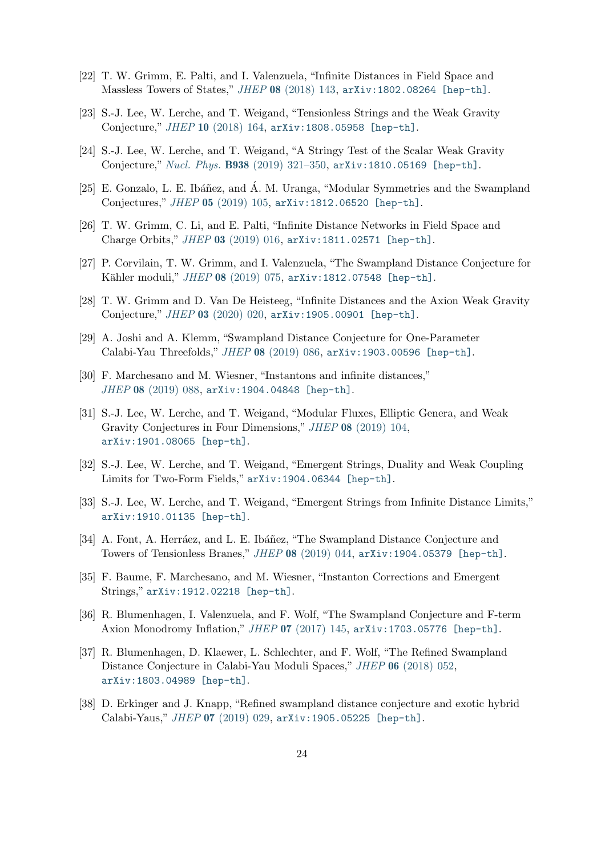- <span id="page-24-0"></span>[22] T. W. Grimm, E. Palti, and I. Valenzuela, "Infinite Distances in Field Space and Massless Towers of States," JHEP 08 [\(2018\) 143,](http://dx.doi.org/10.1007/JHEP08(2018)143) [arXiv:1802.08264 \[hep-th\]](http://arxiv.org/abs/1802.08264).
- [23] S.-J. Lee, W. Lerche, and T. Weigand, "Tensionless Strings and the Weak Gravity Conjecture," JHEP 10 [\(2018\) 164,](http://dx.doi.org/10.1007/JHEP10(2018)164) [arXiv:1808.05958 \[hep-th\]](http://arxiv.org/abs/1808.05958).
- [24] S.-J. Lee, W. Lerche, and T. Weigand, "A Stringy Test of the Scalar Weak Gravity Conjecture," Nucl. Phys. B938 [\(2019\) 321–350,](http://dx.doi.org/10.1016/j.nuclphysb.2018.11.001) [arXiv:1810.05169 \[hep-th\]](http://arxiv.org/abs/1810.05169).
- <span id="page-24-1"></span>[25] E. Gonzalo, L. E. Ibáñez, and Á. M. Uranga, "Modular Symmetries and the Swampland Conjectures," JHEP 05 [\(2019\) 105,](http://dx.doi.org/10.1007/JHEP05(2019)105) [arXiv:1812.06520 \[hep-th\]](http://arxiv.org/abs/1812.06520).
- <span id="page-24-2"></span>[26] T. W. Grimm, C. Li, and E. Palti, "Infinite Distance Networks in Field Space and Charge Orbits," JHEP 03 [\(2019\) 016,](http://dx.doi.org/10.1007/JHEP03(2019)016) [arXiv:1811.02571 \[hep-th\]](http://arxiv.org/abs/1811.02571).
- [27] P. Corvilain, T. W. Grimm, and I. Valenzuela, "The Swampland Distance Conjecture for Kähler moduli," JHEP 08 [\(2019\) 075,](http://dx.doi.org/10.1007/JHEP08(2019)075) [arXiv:1812.07548 \[hep-th\]](http://arxiv.org/abs/1812.07548).
- [28] T. W. Grimm and D. Van De Heisteeg, "Infinite Distances and the Axion Weak Gravity Conjecture," JHEP 03 [\(2020\) 020,](http://dx.doi.org/10.1007/JHEP03(2020)020) [arXiv:1905.00901 \[hep-th\]](http://arxiv.org/abs/1905.00901).
- [29] A. Joshi and A. Klemm, "Swampland Distance Conjecture for One-Parameter Calabi-Yau Threefolds," JHEP 08 [\(2019\) 086,](http://dx.doi.org/10.1007/JHEP08(2019)086) [arXiv:1903.00596 \[hep-th\]](http://arxiv.org/abs/1903.00596).
- [30] F. Marchesano and M. Wiesner, "Instantons and infinite distances," JHEP 08 [\(2019\) 088,](http://dx.doi.org/10.1007/JHEP08(2019)088) [arXiv:1904.04848 \[hep-th\]](http://arxiv.org/abs/1904.04848).
- [31] S.-J. Lee, W. Lerche, and T. Weigand, "Modular Fluxes, Elliptic Genera, and Weak Gravity Conjectures in Four Dimensions," JHEP 08 [\(2019\) 104,](http://dx.doi.org/10.1007/JHEP08(2019)104) [arXiv:1901.08065 \[hep-th\]](http://arxiv.org/abs/1901.08065).
- <span id="page-24-3"></span>[32] S.-J. Lee, W. Lerche, and T. Weigand, "Emergent Strings, Duality and Weak Coupling Limits for Two-Form Fields," [arXiv:1904.06344 \[hep-th\]](http://arxiv.org/abs/1904.06344).
- [33] S.-J. Lee, W. Lerche, and T. Weigand, "Emergent Strings from Infinite Distance Limits," [arXiv:1910.01135 \[hep-th\]](http://arxiv.org/abs/1910.01135).
- [34] A. Font, A. Herráez, and L. E. Ibáñez, "The Swampland Distance Conjecture and Towers of Tensionless Branes," JHEP 08 [\(2019\) 044,](http://dx.doi.org/10.1007/JHEP08(2019)044) [arXiv:1904.05379 \[hep-th\]](http://arxiv.org/abs/1904.05379).
- [35] F. Baume, F. Marchesano, and M. Wiesner, "Instanton Corrections and Emergent Strings," [arXiv:1912.02218 \[hep-th\]](http://arxiv.org/abs/1912.02218).
- [36] R. Blumenhagen, I. Valenzuela, and F. Wolf, "The Swampland Conjecture and F-term Axion Monodromy Inflation," JHEP 07 [\(2017\) 145,](http://dx.doi.org/10.1007/JHEP07(2017)145) [arXiv:1703.05776 \[hep-th\]](http://arxiv.org/abs/1703.05776).
- [37] R. Blumenhagen, D. Klaewer, L. Schlechter, and F. Wolf, "The Refined Swampland Distance Conjecture in Calabi-Yau Moduli Spaces," JHEP 06 [\(2018\) 052,](http://dx.doi.org/10.1007/JHEP06(2018)052) [arXiv:1803.04989 \[hep-th\]](http://arxiv.org/abs/1803.04989).
- [38] D. Erkinger and J. Knapp, "Refined swampland distance conjecture and exotic hybrid Calabi-Yaus," JHEP 07 [\(2019\) 029,](http://dx.doi.org/10.1007/JHEP07(2019)029) [arXiv:1905.05225 \[hep-th\]](http://arxiv.org/abs/1905.05225).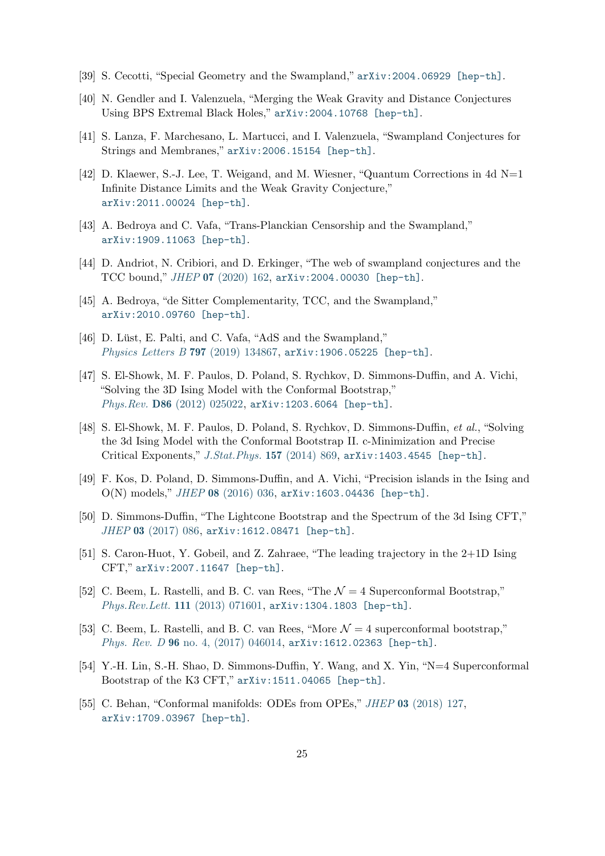- <span id="page-25-11"></span><span id="page-25-3"></span>[39] S. Cecotti, "Special Geometry and the Swampland," [arXiv:2004.06929 \[hep-th\]](http://arxiv.org/abs/2004.06929).
- <span id="page-25-12"></span>[40] N. Gendler and I. Valenzuela, "Merging the Weak Gravity and Distance Conjectures Using BPS Extremal Black Holes," [arXiv:2004.10768 \[hep-th\]](http://arxiv.org/abs/2004.10768).
- <span id="page-25-0"></span>[41] S. Lanza, F. Marchesano, L. Martucci, and I. Valenzuela, "Swampland Conjectures for Strings and Membranes," [arXiv:2006.15154 \[hep-th\]](http://arxiv.org/abs/2006.15154).
- [42] D. Klaewer, S.-J. Lee, T. Weigand, and M. Wiesner, "Quantum Corrections in 4d N=1 Infinite Distance Limits and the Weak Gravity Conjecture," [arXiv:2011.00024 \[hep-th\]](http://arxiv.org/abs/2011.00024).
- <span id="page-25-10"></span><span id="page-25-1"></span>[43] A. Bedroya and C. Vafa, "Trans-Planckian Censorship and the Swampland," [arXiv:1909.11063 \[hep-th\]](http://arxiv.org/abs/1909.11063).
- <span id="page-25-2"></span>[44] D. Andriot, N. Cribiori, and D. Erkinger, "The web of swampland conjectures and the TCC bound," JHEP 07 [\(2020\) 162,](http://dx.doi.org/10.1007/JHEP07(2020)162) [arXiv:2004.00030 \[hep-th\]](http://arxiv.org/abs/2004.00030).
- <span id="page-25-8"></span>[45] A. Bedroya, "de Sitter Complementarity, TCC, and the Swampland," [arXiv:2010.09760 \[hep-th\]](http://arxiv.org/abs/2010.09760).
- <span id="page-25-4"></span>[46] D. Lüst, E. Palti, and C. Vafa, "AdS and the Swampland," [Physics Letters B](http://dx.doi.org/10.1016/j.physletb.2019.134867) 797 (2019) 134867, [arXiv:1906.05225 \[hep-th\]](http://arxiv.org/abs/1906.05225).
- [47] S. El-Showk, M. F. Paulos, D. Poland, S. Rychkov, D. Simmons-Duffin, and A. Vichi, "Solving the 3D Ising Model with the Conformal Bootstrap," Phys.Rev. D86 [\(2012\) 025022,](http://dx.doi.org/10.1103/PhysRevD.86.025022) [arXiv:1203.6064 \[hep-th\]](http://arxiv.org/abs/1203.6064).
- [48] S. El-Showk, M. F. Paulos, D. Poland, S. Rychkov, D. Simmons-Duffin, et al., "Solving the 3d Ising Model with the Conformal Bootstrap II. c-Minimization and Precise Critical Exponents," [J.Stat.Phys.](http://dx.doi.org/10.1007/s10955-014-1042-7) 157 (2014) 869, [arXiv:1403.4545 \[hep-th\]](http://arxiv.org/abs/1403.4545).
- [49] F. Kos, D. Poland, D. Simmons-Duffin, and A. Vichi, "Precision islands in the Ising and O(N) models," JHEP 08 [\(2016\) 036,](http://dx.doi.org/10.1007/JHEP08(2016)036) [arXiv:1603.04436 \[hep-th\]](http://arxiv.org/abs/1603.04436).
- [50] D. Simmons-Duffin, "The Lightcone Bootstrap and the Spectrum of the 3d Ising CFT," JHEP 03 [\(2017\) 086,](http://dx.doi.org/10.1007/JHEP03(2017)086) [arXiv:1612.08471 \[hep-th\]](http://arxiv.org/abs/1612.08471).
- <span id="page-25-5"></span>[51] S. Caron-Huot, Y. Gobeil, and Z. Zahraee, "The leading trajectory in the 2+1D Ising CFT," [arXiv:2007.11647 \[hep-th\]](http://arxiv.org/abs/2007.11647).
- <span id="page-25-7"></span><span id="page-25-6"></span>[52] C. Beem, L. Rastelli, and B. C. van Rees, "The  $\mathcal{N}=4$  Superconformal Bootstrap," [Phys.Rev.Lett.](http://dx.doi.org/10.1103/PhysRevLett.111.071601) 111 (2013) 071601, [arXiv:1304.1803 \[hep-th\]](http://arxiv.org/abs/1304.1803).
- [53] C. Beem, L. Rastelli, and B. C. van Rees, "More  $\mathcal{N}=4$  superconformal bootstrap," Phys. Rev. D 96 [no. 4, \(2017\) 046014,](http://dx.doi.org/10.1103/PhysRevD.96.046014) [arXiv:1612.02363 \[hep-th\]](http://arxiv.org/abs/1612.02363).
- [54] Y.-H. Lin, S.-H. Shao, D. Simmons-Duffin, Y. Wang, and X. Yin, "N=4 Superconformal Bootstrap of the K3 CFT," [arXiv:1511.04065 \[hep-th\]](http://arxiv.org/abs/1511.04065).
- <span id="page-25-9"></span>[55] C. Behan, "Conformal manifolds: ODEs from OPEs," JHEP 03 [\(2018\) 127,](http://dx.doi.org/10.1007/JHEP03(2018)127) [arXiv:1709.03967 \[hep-th\]](http://arxiv.org/abs/1709.03967).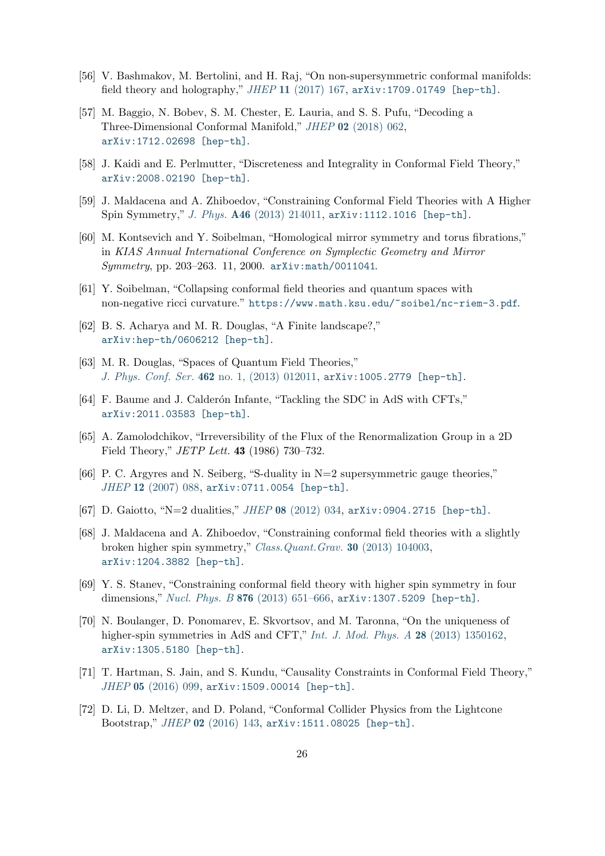- <span id="page-26-13"></span><span id="page-26-12"></span>[56] V. Bashmakov, M. Bertolini, and H. Raj, "On non-supersymmetric conformal manifolds: field theory and holography,"  $JHEP$  11 [\(2017\) 167,](http://dx.doi.org/10.1007/JHEP11(2017)167) [arXiv:1709.01749 \[hep-th\]](http://arxiv.org/abs/1709.01749).
- [57] M. Baggio, N. Bobev, S. M. Chester, E. Lauria, and S. S. Pufu, "Decoding a Three-Dimensional Conformal Manifold," JHEP 02 [\(2018\) 062,](http://dx.doi.org/10.1007/JHEP02(2018)062) [arXiv:1712.02698 \[hep-th\]](http://arxiv.org/abs/1712.02698).
- <span id="page-26-1"></span><span id="page-26-0"></span>[58] J. Kaidi and E. Perlmutter, "Discreteness and Integrality in Conformal Field Theory," [arXiv:2008.02190 \[hep-th\]](http://arxiv.org/abs/2008.02190).
- <span id="page-26-2"></span>[59] J. Maldacena and A. Zhiboedov, "Constraining Conformal Field Theories with A Higher Spin Symmetry," J. Phys. A46 [\(2013\) 214011,](http://dx.doi.org/10.1088/1751-8113/46/21/214011) [arXiv:1112.1016 \[hep-th\]](http://arxiv.org/abs/1112.1016).
- [60] M. Kontsevich and Y. Soibelman, "Homological mirror symmetry and torus fibrations," in KIAS Annual International Conference on Symplectic Geometry and Mirror Symmetry, pp. 203–263. 11, 2000. [arXiv:math/0011041](http://arxiv.org/abs/math/0011041).
- <span id="page-26-11"></span><span id="page-26-10"></span>[61] Y. Soibelman, "Collapsing conformal field theories and quantum spaces with non-negative ricci curvature." <https://www.math.ksu.edu/~soibel/nc-riem-3.pdf>.
- <span id="page-26-3"></span>[62] B. S. Acharya and M. R. Douglas, "A Finite landscape?," [arXiv:hep-th/0606212 \[hep-th\]](http://arxiv.org/abs/hep-th/0606212).
- <span id="page-26-4"></span>[63] M. R. Douglas, "Spaces of Quantum Field Theories," J. Phys. Conf. Ser. 462 [no. 1, \(2013\) 012011,](http://dx.doi.org/10.1088/1742-6596/462/1/012011) [arXiv:1005.2779 \[hep-th\]](http://arxiv.org/abs/1005.2779).
- <span id="page-26-5"></span>[64] F. Baume and J. Calderon Infante, "Tackling the SDC in AdS with CFTs," [arXiv:2011.03583 \[hep-th\]](http://arxiv.org/abs/2011.03583).
- <span id="page-26-6"></span>[65] A. Zamolodchikov, "Irreversibility of the Flux of the Renormalization Group in a 2D Field Theory," *JETP Lett.* **43** (1986) 730-732.
- [66] P. C. Argyres and N. Seiberg, "S-duality in N=2 supersymmetric gauge theories," JHEP 12 [\(2007\) 088,](http://dx.doi.org/10.1088/1126-6708/2007/12/088) [arXiv:0711.0054 \[hep-th\]](http://arxiv.org/abs/0711.0054).
- <span id="page-26-8"></span><span id="page-26-7"></span>[67] D. Gaiotto, "N=2 dualities," JHEP 08 [\(2012\) 034,](http://dx.doi.org/10.1007/JHEP08(2012)034) [arXiv:0904.2715 \[hep-th\]](http://arxiv.org/abs/0904.2715).
- [68] J. Maldacena and A. Zhiboedov, "Constraining conformal field theories with a slightly broken higher spin symmetry," [Class.Quant.Grav.](http://dx.doi.org/10.1088/0264-9381/30/10/104003) 30 (2013) 104003, [arXiv:1204.3882 \[hep-th\]](http://arxiv.org/abs/1204.3882).
- <span id="page-26-9"></span>[69] Y. S. Stanev, "Constraining conformal field theory with higher spin symmetry in four dimensions," Nucl. Phys. B 876 [\(2013\) 651–666,](http://dx.doi.org/10.1016/j.nuclphysb.2013.09.002) [arXiv:1307.5209 \[hep-th\]](http://arxiv.org/abs/1307.5209).
- [70] N. Boulanger, D. Ponomarev, E. Skvortsov, and M. Taronna, "On the uniqueness of higher-spin symmetries in AdS and CFT," [Int. J. Mod. Phys. A](http://dx.doi.org/10.1142/S0217751X13501625) 28 (2013) 1350162, [arXiv:1305.5180 \[hep-th\]](http://arxiv.org/abs/1305.5180).
- [71] T. Hartman, S. Jain, and S. Kundu, "Causality Constraints in Conformal Field Theory," JHEP 05 [\(2016\) 099,](http://dx.doi.org/10.1007/JHEP05(2016)099) [arXiv:1509.00014 \[hep-th\]](http://arxiv.org/abs/1509.00014).
- [72] D. Li, D. Meltzer, and D. Poland, "Conformal Collider Physics from the Lightcone Bootstrap," JHEP 02 [\(2016\) 143,](http://dx.doi.org/10.1007/JHEP02(2016)143) [arXiv:1511.08025 \[hep-th\]](http://arxiv.org/abs/1511.08025).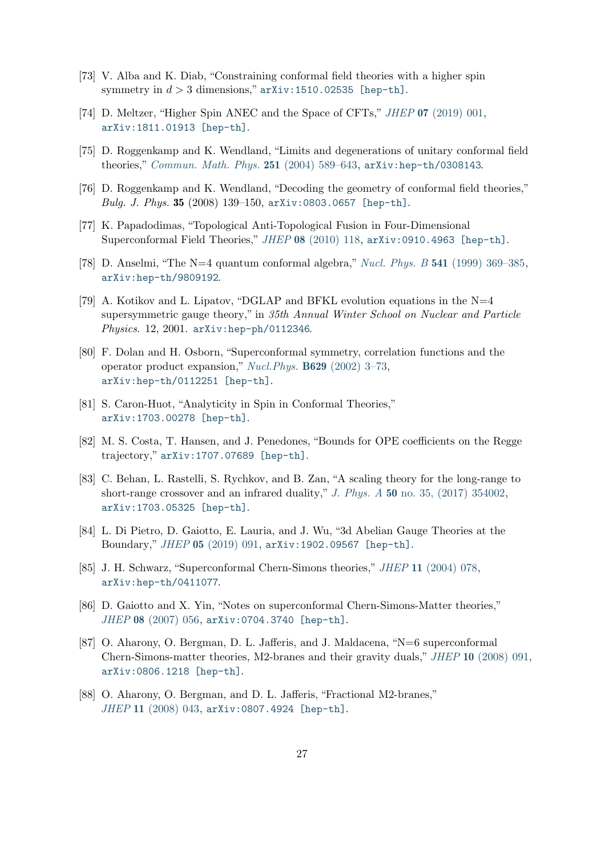- <span id="page-27-0"></span>[73] V. Alba and K. Diab, "Constraining conformal field theories with a higher spin symmetry in  $d > 3$  dimensions," [arXiv:1510.02535 \[hep-th\]](http://arxiv.org/abs/1510.02535).
- <span id="page-27-1"></span>[74] D. Meltzer, "Higher Spin ANEC and the Space of CFTs," JHEP 07 [\(2019\) 001,](http://dx.doi.org/10.1007/JHEP07(2019)001) [arXiv:1811.01913 \[hep-th\]](http://arxiv.org/abs/1811.01913).
- <span id="page-27-2"></span>[75] D. Roggenkamp and K. Wendland, "Limits and degenerations of unitary conformal field theories," [Commun. Math. Phys.](http://dx.doi.org/10.1007/s00220-004-1131-6) 251 (2004) 589-643, [arXiv:hep-th/0308143](http://arxiv.org/abs/hep-th/0308143).
- <span id="page-27-3"></span>[76] D. Roggenkamp and K. Wendland, "Decoding the geometry of conformal field theories," Bulg. J. Phys. 35 (2008) 139–150, [arXiv:0803.0657 \[hep-th\]](http://arxiv.org/abs/0803.0657).
- <span id="page-27-4"></span>[77] K. Papadodimas, "Topological Anti-Topological Fusion in Four-Dimensional Superconformal Field Theories," JHEP 08 [\(2010\) 118,](http://dx.doi.org/10.1007/JHEP08(2010)118) [arXiv:0910.4963 \[hep-th\]](http://arxiv.org/abs/0910.4963).
- [78] D. Anselmi, "The N=4 quantum conformal algebra," Nucl. Phys. B 541 [\(1999\) 369–385,](http://dx.doi.org/10.1016/S0550-3213(98)00848-7) [arXiv:hep-th/9809192](http://arxiv.org/abs/hep-th/9809192).
- [79] A. Kotikov and L. Lipatov, "DGLAP and BFKL evolution equations in the  $N=4$ supersymmetric gauge theory," in 35th Annual Winter School on Nuclear and Particle Physics. 12, 2001. [arXiv:hep-ph/0112346](http://arxiv.org/abs/hep-ph/0112346).
- <span id="page-27-5"></span>[80] F. Dolan and H. Osborn, "Superconformal symmetry, correlation functions and the operator product expansion," Nucl.Phys. B629 [\(2002\) 3–73,](http://dx.doi.org/10.1016/S0550-3213(02)00096-2) [arXiv:hep-th/0112251 \[hep-th\]](http://arxiv.org/abs/hep-th/0112251).
- <span id="page-27-7"></span><span id="page-27-6"></span>[81] S. Caron-Huot, "Analyticity in Spin in Conformal Theories," [arXiv:1703.00278 \[hep-th\]](http://arxiv.org/abs/1703.00278).
- <span id="page-27-8"></span>[82] M. S. Costa, T. Hansen, and J. Penedones, "Bounds for OPE coefficients on the Regge trajectory," [arXiv:1707.07689 \[hep-th\]](http://arxiv.org/abs/1707.07689).
- [83] C. Behan, L. Rastelli, S. Rychkov, and B. Zan, "A scaling theory for the long-range to short-range crossover and an infrared duality," J. Phys. A 50 [no. 35, \(2017\) 354002,](http://dx.doi.org/10.1088/1751-8121/aa8099) [arXiv:1703.05325 \[hep-th\]](http://arxiv.org/abs/1703.05325).
- <span id="page-27-10"></span><span id="page-27-9"></span>[84] L. Di Pietro, D. Gaiotto, E. Lauria, and J. Wu, "3d Abelian Gauge Theories at the Boundary," JHEP 05 [\(2019\) 091,](http://dx.doi.org/10.1007/JHEP05(2019)091) [arXiv:1902.09567 \[hep-th\]](http://arxiv.org/abs/1902.09567).
- [85] J. H. Schwarz, "Superconformal Chern-Simons theories," JHEP 11 [\(2004\) 078,](http://dx.doi.org/10.1088/1126-6708/2004/11/078) [arXiv:hep-th/0411077](http://arxiv.org/abs/hep-th/0411077).
- [86] D. Gaiotto and X. Yin, "Notes on superconformal Chern-Simons-Matter theories," JHEP 08 [\(2007\) 056,](http://dx.doi.org/10.1088/1126-6708/2007/08/056) [arXiv:0704.3740 \[hep-th\]](http://arxiv.org/abs/0704.3740).
- [87] O. Aharony, O. Bergman, D. L. Jafferis, and J. Maldacena, "N=6 superconformal Chern-Simons-matter theories, M2-branes and their gravity duals," JHEP 10 [\(2008\) 091,](http://dx.doi.org/10.1088/1126-6708/2008/10/091) [arXiv:0806.1218 \[hep-th\]](http://arxiv.org/abs/0806.1218).
- [88] O. Aharony, O. Bergman, and D. L. Jafferis, "Fractional M2-branes," JHEP 11 [\(2008\) 043,](http://dx.doi.org/10.1088/1126-6708/2008/11/043) [arXiv:0807.4924 \[hep-th\]](http://arxiv.org/abs/0807.4924).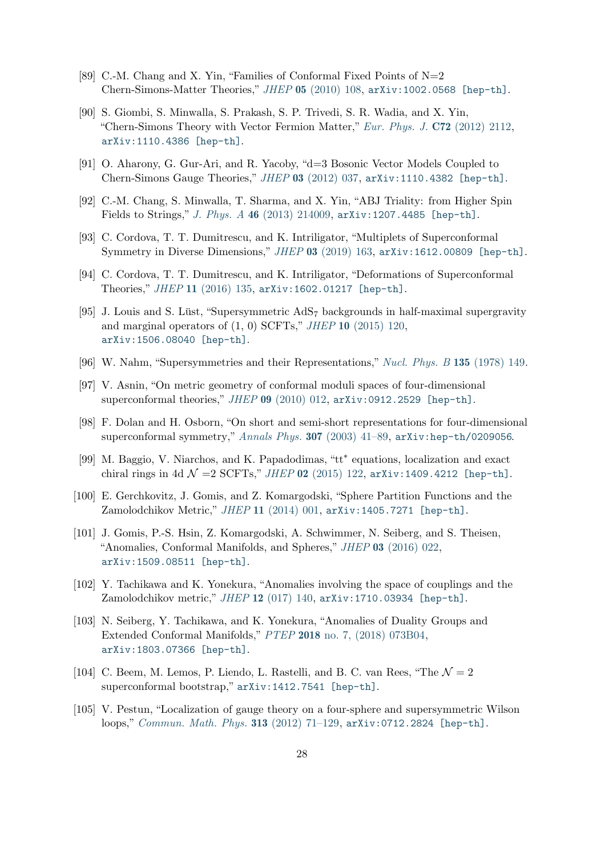- <span id="page-28-15"></span>[89] C.-M. Chang and X. Yin, "Families of Conformal Fixed Points of  $N=2$ Chern-Simons-Matter Theories," JHEP 05 [\(2010\) 108,](http://dx.doi.org/10.1007/JHEP05(2010)108) [arXiv:1002.0568 \[hep-th\]](http://arxiv.org/abs/1002.0568).
- [90] S. Giombi, S. Minwalla, S. Prakash, S. P. Trivedi, S. R. Wadia, and X. Yin, "Chern-Simons Theory with Vector Fermion Matter," [Eur. Phys. J.](http://dx.doi.org/10.1140/epjc/s10052-012-2112-0) C72 (2012) 2112, [arXiv:1110.4386 \[hep-th\]](http://arxiv.org/abs/1110.4386).
- <span id="page-28-1"></span><span id="page-28-0"></span>[91] O. Aharony, G. Gur-Ari, and R. Yacoby, "d=3 Bosonic Vector Models Coupled to Chern-Simons Gauge Theories," JHEP 03 [\(2012\) 037,](http://dx.doi.org/10.1007/JHEP03(2012)037) [arXiv:1110.4382 \[hep-th\]](http://arxiv.org/abs/1110.4382).
- <span id="page-28-2"></span>[92] C.-M. Chang, S. Minwalla, T. Sharma, and X. Yin, "ABJ Triality: from Higher Spin Fields to Strings," J. Phys. A 46 [\(2013\) 214009,](http://dx.doi.org/10.1088/1751-8113/46/21/214009) [arXiv:1207.4485 \[hep-th\]](http://arxiv.org/abs/1207.4485).
- <span id="page-28-7"></span>[93] C. Cordova, T. T. Dumitrescu, and K. Intriligator, "Multiplets of Superconformal Symmetry in Diverse Dimensions," JHEP 03 [\(2019\) 163,](http://dx.doi.org/10.1007/JHEP03(2019)163) [arXiv:1612.00809 \[hep-th\]](http://arxiv.org/abs/1612.00809).
- <span id="page-28-3"></span>[94] C. Cordova, T. T. Dumitrescu, and K. Intriligator, "Deformations of Superconformal Theories," JHEP 11 [\(2016\) 135,](http://dx.doi.org/10.1007/JHEP11(2016)135) [arXiv:1602.01217 \[hep-th\]](http://arxiv.org/abs/1602.01217).
- [95] J. Louis and S. Lüst, "Supersymmetric  $AdS<sub>7</sub>$  backgrounds in half-maximal supergravity and marginal operators of  $(1, 0)$  SCFTs," JHEP 10  $(2015)$  120, [arXiv:1506.08040 \[hep-th\]](http://arxiv.org/abs/1506.08040).
- <span id="page-28-5"></span><span id="page-28-4"></span>[96] W. Nahm, "Supersymmetries and their Representations," [Nucl. Phys. B](http://dx.doi.org/10.1016/0550-3213(78)90218-3) 135 (1978) 149.
- [97] V. Asnin, "On metric geometry of conformal moduli spaces of four-dimensional superconformal theories," JHEP 09 [\(2010\) 012,](http://dx.doi.org/10.1007/JHEP09(2010)012) [arXiv:0912.2529 \[hep-th\]](http://arxiv.org/abs/0912.2529).
- <span id="page-28-13"></span><span id="page-28-6"></span>[98] F. Dolan and H. Osborn, "On short and semi-short representations for four-dimensional superconformal symmetry," [Annals Phys.](http://dx.doi.org/10.1016/S0003-4916(03)00074-5) 307 (2003) 41–89, [arXiv:hep-th/0209056](http://arxiv.org/abs/hep-th/0209056).
- [99] M. Baggio, V. Niarchos, and K. Papadodimas, "tt\* equations, localization and exact chiral rings in 4d  $\mathcal{N} = 2$  SCFTs," JHEP 02 [\(2015\) 122,](http://dx.doi.org/10.1007/JHEP02(2015)122) [arXiv:1409.4212 \[hep-th\]](http://arxiv.org/abs/1409.4212).
- <span id="page-28-9"></span><span id="page-28-8"></span>[100] E. Gerchkovitz, J. Gomis, and Z. Komargodski, "Sphere Partition Functions and the Zamolodchikov Metric," JHEP 11 [\(2014\) 001,](http://dx.doi.org/10.1007/JHEP11(2014)001) [arXiv:1405.7271 \[hep-th\]](http://arxiv.org/abs/1405.7271).
- [101] J. Gomis, P.-S. Hsin, Z. Komargodski, A. Schwimmer, N. Seiberg, and S. Theisen, "Anomalies, Conformal Manifolds, and Spheres," JHEP 03 [\(2016\) 022,](http://dx.doi.org/10.1007/JHEP03(2016)022) [arXiv:1509.08511 \[hep-th\]](http://arxiv.org/abs/1509.08511).
- <span id="page-28-10"></span>[102] Y. Tachikawa and K. Yonekura, "Anomalies involving the space of couplings and the Zamolodchikov metric," JHEP 12 [\(017\) 140,](http://dx.doi.org/10.1007/JHEP12(2017)140) [arXiv:1710.03934 \[hep-th\]](http://arxiv.org/abs/1710.03934).
- <span id="page-28-11"></span>[103] N. Seiberg, Y. Tachikawa, and K. Yonekura, "Anomalies of Duality Groups and Extended Conformal Manifolds," PTEP 2018 [no. 7, \(2018\) 073B04,](http://dx.doi.org/10.1093/ptep/pty069) [arXiv:1803.07366 \[hep-th\]](http://arxiv.org/abs/1803.07366).
- <span id="page-28-12"></span>[104] C. Beem, M. Lemos, P. Liendo, L. Rastelli, and B. C. van Rees, "The  $\mathcal{N}=2$ superconformal bootstrap," [arXiv:1412.7541 \[hep-th\]](http://arxiv.org/abs/1412.7541).
- <span id="page-28-14"></span>[105] V. Pestun, "Localization of gauge theory on a four-sphere and supersymmetric Wilson loops," [Commun. Math. Phys.](http://dx.doi.org/10.1007/s00220-012-1485-0) 313 (2012) 71–129, [arXiv:0712.2824 \[hep-th\]](http://arxiv.org/abs/0712.2824).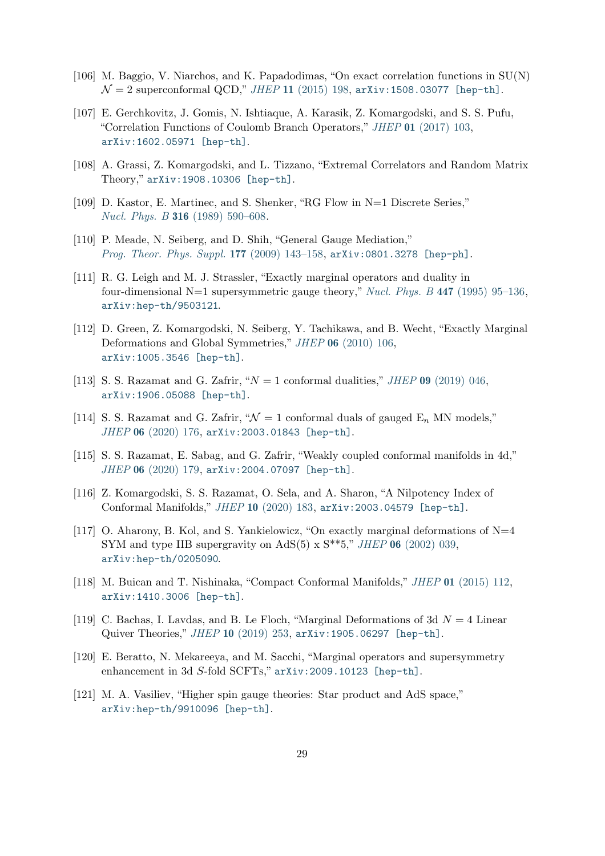- <span id="page-29-0"></span>[106] M. Baggio, V. Niarchos, and K. Papadodimas, "On exact correlation functions in SU(N)  $\mathcal{N} = 2$  superconformal QCD," JHEP 11 [\(2015\) 198,](http://dx.doi.org/10.1007/JHEP11(2015)198) [arXiv:1508.03077 \[hep-th\]](http://arxiv.org/abs/1508.03077).
- [107] E. Gerchkovitz, J. Gomis, N. Ishtiaque, A. Karasik, Z. Komargodski, and S. S. Pufu, "Correlation Functions of Coulomb Branch Operators," JHEP 01 [\(2017\) 103,](http://dx.doi.org/10.1007/JHEP01(2017)103) [arXiv:1602.05971 \[hep-th\]](http://arxiv.org/abs/1602.05971).
- <span id="page-29-2"></span><span id="page-29-1"></span>[108] A. Grassi, Z. Komargodski, and L. Tizzano, "Extremal Correlators and Random Matrix Theory," [arXiv:1908.10306 \[hep-th\]](http://arxiv.org/abs/1908.10306).
- <span id="page-29-3"></span>[109] D. Kastor, E. Martinec, and S. Shenker, "RG Flow in N=1 Discrete Series," Nucl. Phys. B 316 [\(1989\) 590–608.](http://dx.doi.org/10.1016/0550-3213(89)90060-6)
- <span id="page-29-4"></span>[110] P. Meade, N. Seiberg, and D. Shih, "General Gauge Mediation," [Prog. Theor. Phys. Suppl.](http://dx.doi.org/10.1143/PTPS.177.143) 177 (2009) 143–158, [arXiv:0801.3278 \[hep-ph\]](http://arxiv.org/abs/0801.3278).
- [111] R. G. Leigh and M. J. Strassler, "Exactly marginal operators and duality in four-dimensional N=1 supersymmetric gauge theory," Nucl. Phys. B 447 [\(1995\) 95–136,](http://dx.doi.org/10.1016/0550-3213(95)00261-P) [arXiv:hep-th/9503121](http://arxiv.org/abs/hep-th/9503121).
- <span id="page-29-5"></span>[112] D. Green, Z. Komargodski, N. Seiberg, Y. Tachikawa, and B. Wecht, "Exactly Marginal Deformations and Global Symmetries," JHEP 06 [\(2010\) 106,](http://dx.doi.org/10.1007/JHEP06(2010)106) [arXiv:1005.3546 \[hep-th\]](http://arxiv.org/abs/1005.3546).
- <span id="page-29-10"></span><span id="page-29-6"></span>[113] S. S. Razamat and G. Zafrir, " $N = 1$  conformal dualities," JHEP 09 [\(2019\) 046,](http://dx.doi.org/10.1007/JHEP09(2019)046) [arXiv:1906.05088 \[hep-th\]](http://arxiv.org/abs/1906.05088).
- [114] S. S. Razamat and G. Zafrir, " $\mathcal{N} = 1$  conformal duals of gauged  $E_n$  MN models," JHEP 06 [\(2020\) 176,](http://dx.doi.org/10.1007/JHEP06(2020)176) [arXiv:2003.01843 \[hep-th\]](http://arxiv.org/abs/2003.01843).
- <span id="page-29-9"></span><span id="page-29-7"></span>[115] S. S. Razamat, E. Sabag, and G. Zafrir, "Weakly coupled conformal manifolds in 4d," JHEP 06 [\(2020\) 179,](http://dx.doi.org/10.1007/JHEP06(2020)179) [arXiv:2004.07097 \[hep-th\]](http://arxiv.org/abs/2004.07097).
- <span id="page-29-8"></span>[116] Z. Komargodski, S. S. Razamat, O. Sela, and A. Sharon, "A Nilpotency Index of Conformal Manifolds," JHEP 10 [\(2020\) 183,](http://dx.doi.org/10.1007/JHEP10(2020)183) [arXiv:2003.04579 \[hep-th\]](http://arxiv.org/abs/2003.04579).
- [117] O. Aharony, B. Kol, and S. Yankielowicz, "On exactly marginal deformations of N=4 SYM and type IIB supergravity on AdS(5) x  $S^{**}5$ ," *JHEP* 06 [\(2002\) 039,](http://dx.doi.org/10.1088/1126-6708/2002/06/039) [arXiv:hep-th/0205090](http://arxiv.org/abs/hep-th/0205090).
- <span id="page-29-12"></span>[118] M. Buican and T. Nishinaka, "Compact Conformal Manifolds," JHEP 01 [\(2015\) 112,](http://dx.doi.org/10.1007/JHEP01(2015)112) [arXiv:1410.3006 \[hep-th\]](http://arxiv.org/abs/1410.3006).
- <span id="page-29-14"></span><span id="page-29-13"></span>[119] C. Bachas, I. Lavdas, and B. Le Floch, "Marginal Deformations of 3d  $N = 4$  Linear Quiver Theories," JHEP 10 [\(2019\) 253,](http://dx.doi.org/10.1007/JHEP10(2019)253) [arXiv:1905.06297 \[hep-th\]](http://arxiv.org/abs/1905.06297).
- [120] E. Beratto, N. Mekareeya, and M. Sacchi, "Marginal operators and supersymmetry enhancement in 3d S-fold SCFTs," [arXiv:2009.10123 \[hep-th\]](http://arxiv.org/abs/2009.10123).
- <span id="page-29-11"></span>[121] M. A. Vasiliev, "Higher spin gauge theories: Star product and AdS space," [arXiv:hep-th/9910096 \[hep-th\]](http://arxiv.org/abs/hep-th/9910096).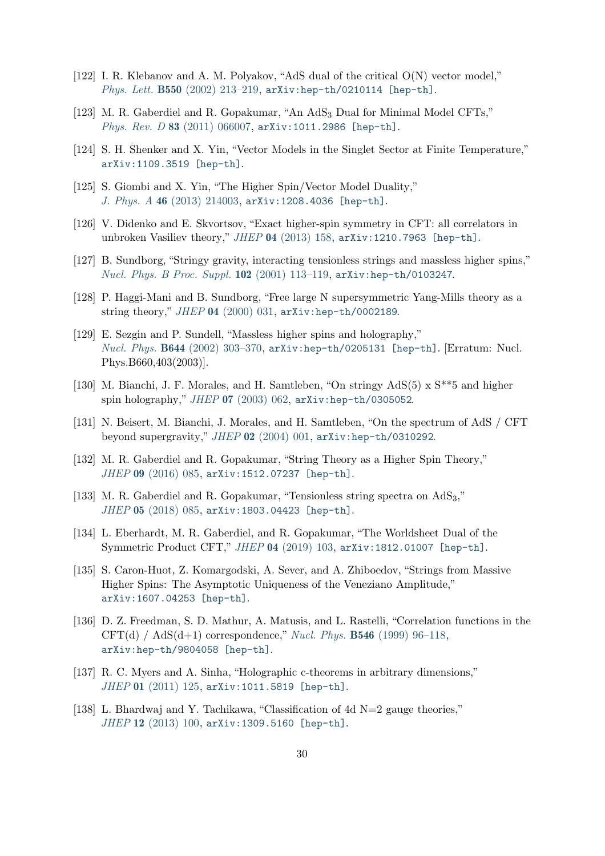- [122] I. R. Klebanov and A. M. Polyakov, "AdS dual of the critical O(N) vector model," Phys. Lett. B550 [\(2002\) 213–219,](http://dx.doi.org/10.1016/S0370-2693(02)02980-5) [arXiv:hep-th/0210114 \[hep-th\]](http://arxiv.org/abs/hep-th/0210114).
- [123] M. R. Gaberdiel and R. Gopakumar, "An AdS<sub>3</sub> Dual for Minimal Model CFTs," Phys. Rev. D 83 [\(2011\) 066007,](http://dx.doi.org/10.1103/PhysRevD.83.066007) [arXiv:1011.2986 \[hep-th\]](http://arxiv.org/abs/1011.2986).
- [124] S. H. Shenker and X. Yin, "Vector Models in the Singlet Sector at Finite Temperature," [arXiv:1109.3519 \[hep-th\]](http://arxiv.org/abs/1109.3519).
- <span id="page-30-0"></span>[125] S. Giombi and X. Yin, "The Higher Spin/Vector Model Duality," J. Phys. A 46 [\(2013\) 214003,](http://dx.doi.org/10.1088/1751-8113/46/21/214003) [arXiv:1208.4036 \[hep-th\]](http://arxiv.org/abs/1208.4036).
- <span id="page-30-1"></span>[126] V. Didenko and E. Skvortsov, "Exact higher-spin symmetry in CFT: all correlators in unbroken Vasiliev theory," JHEP 04 [\(2013\) 158,](http://dx.doi.org/10.1007/JHEP04(2013)158) [arXiv:1210.7963 \[hep-th\]](http://arxiv.org/abs/1210.7963).
- [127] B. Sundborg, "Stringy gravity, interacting tensionless strings and massless higher spins," [Nucl. Phys. B Proc. Suppl.](http://dx.doi.org/10.1016/S0920-5632(01)01545-6) 102 (2001) 113–119, [arXiv:hep-th/0103247](http://arxiv.org/abs/hep-th/0103247).
- <span id="page-30-7"></span>[128] P. Haggi-Mani and B. Sundborg, "Free large N supersymmetric Yang-Mills theory as a string theory," JHEP 04 [\(2000\) 031,](http://dx.doi.org/10.1088/1126-6708/2000/04/031) [arXiv:hep-th/0002189](http://arxiv.org/abs/hep-th/0002189).
- [129] E. Sezgin and P. Sundell, "Massless higher spins and holography," Nucl. Phys. B644 [\(2002\) 303–370,](http://dx.doi.org/10.1016/S0550-3213(02)00739-3, 10.1016/S0550-3213(03)00267-0) [arXiv:hep-th/0205131 \[hep-th\]](http://arxiv.org/abs/hep-th/0205131). [Erratum: Nucl. Phys.B660,403(2003)].
- [130] M. Bianchi, J. F. Morales, and H. Samtleben, "On stringy AdS(5) x S\*\*5 and higher spin holography," JHEP 07 [\(2003\) 062,](http://dx.doi.org/10.1088/1126-6708/2003/07/062) [arXiv:hep-th/0305052](http://arxiv.org/abs/hep-th/0305052).
- <span id="page-30-8"></span>[131] N. Beisert, M. Bianchi, J. Morales, and H. Samtleben, "On the spectrum of AdS / CFT beyond supergravity," JHEP 02 [\(2004\) 001,](http://dx.doi.org/10.1088/1126-6708/2004/02/001) [arXiv:hep-th/0310292](http://arxiv.org/abs/hep-th/0310292).
- [132] M. R. Gaberdiel and R. Gopakumar, "String Theory as a Higher Spin Theory," JHEP 09 [\(2016\) 085,](http://dx.doi.org/10.1007/JHEP09(2016)085) [arXiv:1512.07237 \[hep-th\]](http://arxiv.org/abs/1512.07237).
- <span id="page-30-2"></span>[133] M. R. Gaberdiel and R. Gopakumar, "Tensionless string spectra on AdS3," JHEP 05 [\(2018\) 085,](http://dx.doi.org/10.1007/JHEP05(2018)085) [arXiv:1803.04423 \[hep-th\]](http://arxiv.org/abs/1803.04423).
- [134] L. Eberhardt, M. R. Gaberdiel, and R. Gopakumar, "The Worldsheet Dual of the Symmetric Product CFT," JHEP 04 [\(2019\) 103,](http://dx.doi.org/10.1007/JHEP04(2019)103) [arXiv:1812.01007 \[hep-th\]](http://arxiv.org/abs/1812.01007).
- <span id="page-30-3"></span>[135] S. Caron-Huot, Z. Komargodski, A. Sever, and A. Zhiboedov, "Strings from Massive Higher Spins: The Asymptotic Uniqueness of the Veneziano Amplitude," [arXiv:1607.04253 \[hep-th\]](http://arxiv.org/abs/1607.04253).
- <span id="page-30-4"></span>[136] D. Z. Freedman, S. D. Mathur, A. Matusis, and L. Rastelli, "Correlation functions in the CFT(d) / AdS(d+1) correspondence," Nucl. Phys. **B546** [\(1999\) 96–118,](http://dx.doi.org/10.1016/S0550-3213(99)00053-X) [arXiv:hep-th/9804058 \[hep-th\]](http://arxiv.org/abs/hep-th/9804058).
- <span id="page-30-5"></span>[137] R. C. Myers and A. Sinha, "Holographic c-theorems in arbitrary dimensions," JHEP 01 [\(2011\) 125,](http://dx.doi.org/10.1007/JHEP01(2011)125) [arXiv:1011.5819 \[hep-th\]](http://arxiv.org/abs/1011.5819).
- <span id="page-30-6"></span>[138] L. Bhardwaj and Y. Tachikawa, "Classification of 4d N=2 gauge theories," JHEP 12 [\(2013\) 100,](http://dx.doi.org/10.1007/JHEP12(2013)100) [arXiv:1309.5160 \[hep-th\]](http://arxiv.org/abs/1309.5160).